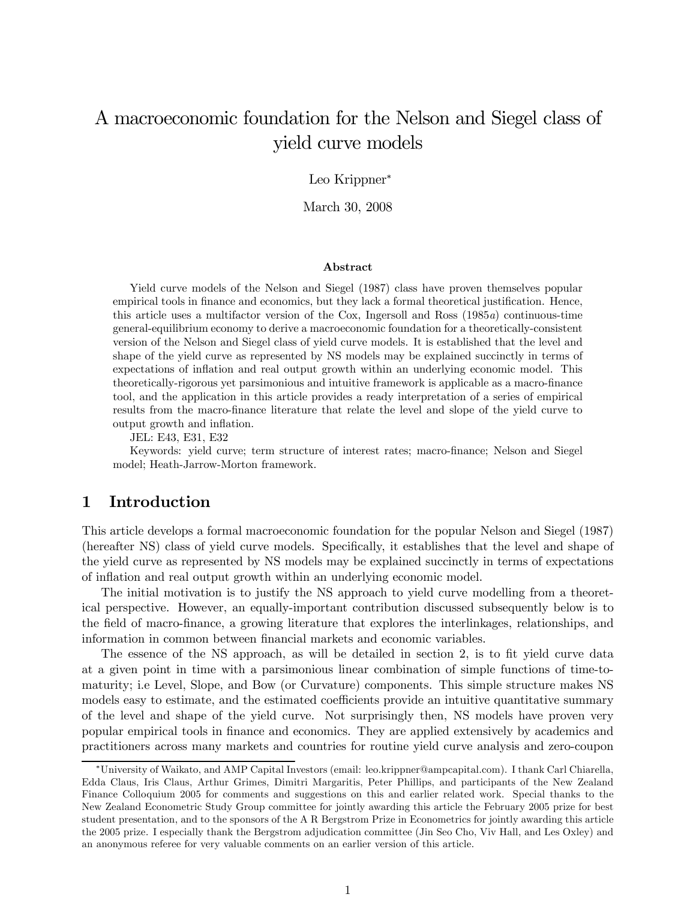# A macroeconomic foundation for the Nelson and Siegel class of yield curve models

#### Leo Krippner<sup>∗</sup>

March 30, 2008

#### Abstract

Yield curve models of the Nelson and Siegel (1987) class have proven themselves popular empirical tools in finance and economics, but they lack a formal theoretical justification. Hence, this article uses a multifactor version of the Cox, Ingersoll and Ross (1985a) continuous-time general-equilibrium economy to derive a macroeconomic foundation for a theoretically-consistent version of the Nelson and Siegel class of yield curve models. It is established that the level and shape of the yield curve as represented by NS models may be explained succinctly in terms of expectations of inflation and real output growth within an underlying economic model. This theoretically-rigorous yet parsimonious and intuitive framework is applicable as a macro-finance tool, and the application in this article provides a ready interpretation of a series of empirical results from the macro-finance literature that relate the level and slope of the yield curve to output growth and inflation.

JEL: E43, E31, E32

Keywords: yield curve; term structure of interest rates; macro-finance; Nelson and Siegel model; Heath-Jarrow-Morton framework.

### 1 Introduction

This article develops a formal macroeconomic foundation for the popular Nelson and Siegel (1987) (hereafter NS) class of yield curve models. Specifically, it establishes that the level and shape of the yield curve as represented by NS models may be explained succinctly in terms of expectations of inflation and real output growth within an underlying economic model.

The initial motivation is to justify the NS approach to yield curve modelling from a theoretical perspective. However, an equally-important contribution discussed subsequently below is to the field of macro-finance, a growing literature that explores the interlinkages, relationships, and information in common between financial markets and economic variables.

The essence of the NS approach, as will be detailed in section 2, is to fit yield curve data at a given point in time with a parsimonious linear combination of simple functions of time-tomaturity; i.e Level, Slope, and Bow (or Curvature) components. This simple structure makes NS models easy to estimate, and the estimated coefficients provide an intuitive quantitative summary of the level and shape of the yield curve. Not surprisingly then, NS models have proven very popular empirical tools in finance and economics. They are applied extensively by academics and practitioners across many markets and countries for routine yield curve analysis and zero-coupon

<sup>∗</sup>University of Waikato, and AMP Capital Investors (email: leo.krippner@ampcapital.com). I thank Carl Chiarella, Edda Claus, Iris Claus, Arthur Grimes, Dimitri Margaritis, Peter Phillips, and participants of the New Zealand Finance Colloquium 2005 for comments and suggestions on this and earlier related work. Special thanks to the New Zealand Econometric Study Group committee for jointly awarding this article the February 2005 prize for best student presentation, and to the sponsors of the A R Bergstrom Prize in Econometrics for jointly awarding this article the 2005 prize. I especially thank the Bergstrom adjudication committee (Jin Seo Cho, Viv Hall, and Les Oxley) and an anonymous referee for very valuable comments on an earlier version of this article.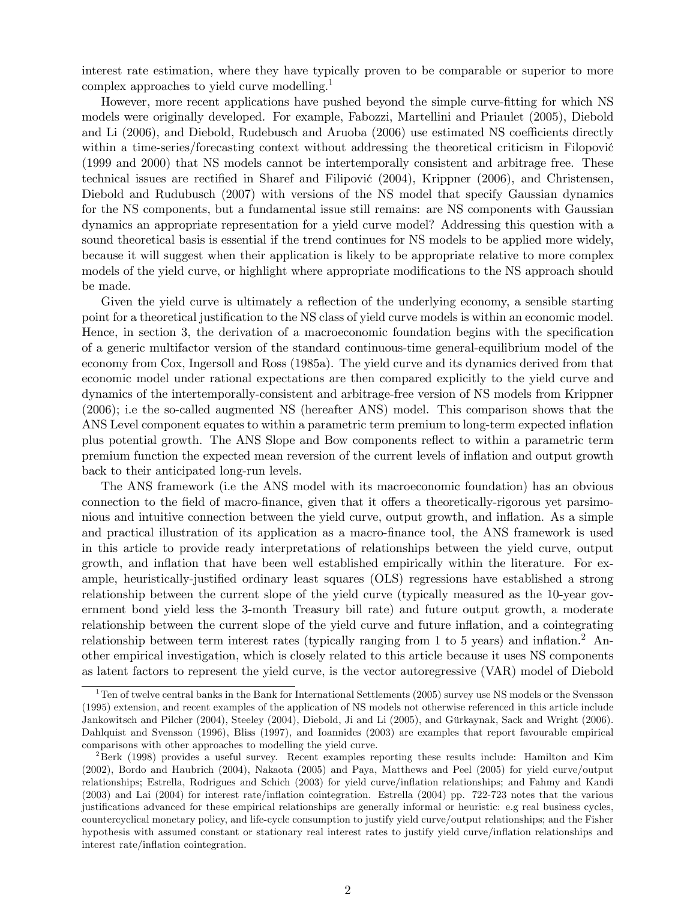interest rate estimation, where they have typically proven to be comparable or superior to more complex approaches to yield curve modelling.1

However, more recent applications have pushed beyond the simple curve-fitting for which NS models were originally developed. For example, Fabozzi, Martellini and Priaulet (2005), Diebold and Li (2006), and Diebold, Rudebusch and Aruoba (2006) use estimated NS coefficients directly within a time-series/forecasting context without addressing the theoretical criticism in Filopović (1999 and 2000) that NS models cannot be intertemporally consistent and arbitrage free. These technical issues are rectified in Sharef and Filipović (2004), Krippner (2006), and Christensen, Diebold and Rudubusch (2007) with versions of the NS model that specify Gaussian dynamics for the NS components, but a fundamental issue still remains: are NS components with Gaussian dynamics an appropriate representation for a yield curve model? Addressing this question with a sound theoretical basis is essential if the trend continues for NS models to be applied more widely, because it will suggest when their application is likely to be appropriate relative to more complex models of the yield curve, or highlight where appropriate modifications to the NS approach should be made.

Given the yield curve is ultimately a reflection of the underlying economy, a sensible starting point for a theoretical justification to the NS class of yield curve models is within an economic model. Hence, in section 3, the derivation of a macroeconomic foundation begins with the specification of a generic multifactor version of the standard continuous-time general-equilibrium model of the economy from Cox, Ingersoll and Ross (1985a). The yield curve and its dynamics derived from that economic model under rational expectations are then compared explicitly to the yield curve and dynamics of the intertemporally-consistent and arbitrage-free version of NS models from Krippner (2006); i.e the so-called augmented NS (hereafter ANS) model. This comparison shows that the ANS Level component equates to within a parametric term premium to long-term expected inflation plus potential growth. The ANS Slope and Bow components reflect to within a parametric term premium function the expected mean reversion of the current levels of inflation and output growth back to their anticipated long-run levels.

The ANS framework (i.e the ANS model with its macroeconomic foundation) has an obvious connection to the field of macro-finance, given that it offers a theoretically-rigorous yet parsimonious and intuitive connection between the yield curve, output growth, and inflation. As a simple and practical illustration of its application as a macro-finance tool, the ANS framework is used in this article to provide ready interpretations of relationships between the yield curve, output growth, and inflation that have been well established empirically within the literature. For example, heuristically-justified ordinary least squares (OLS) regressions have established a strong relationship between the current slope of the yield curve (typically measured as the 10-year government bond yield less the 3-month Treasury bill rate) and future output growth, a moderate relationship between the current slope of the yield curve and future inflation, and a cointegrating relationship between term interest rates (typically ranging from 1 to 5 years) and inflation.<sup>2</sup> Another empirical investigation, which is closely related to this article because it uses NS components as latent factors to represent the yield curve, is the vector autoregressive (VAR) model of Diebold

 $1$ <sup>1</sup>Ten of twelve central banks in the Bank for International Settlements (2005) survey use NS models or the Svensson (1995) extension, and recent examples of the application of NS models not otherwise referenced in this article include Jankowitsch and Pilcher (2004), Steeley (2004), Diebold, Ji and Li (2005), and Gürkaynak, Sack and Wright (2006). Dahlquist and Svensson (1996), Bliss (1997), and Ioannides (2003) are examples that report favourable empirical comparisons with other approaches to modelling the yield curve.

<sup>2</sup>Berk (1998) provides a useful survey. Recent examples reporting these results include: Hamilton and Kim (2002), Bordo and Haubrich (2004), Nakaota (2005) and Paya, Matthews and Peel (2005) for yield curve/output relationships; Estrella, Rodrigues and Schich (2003) for yield curve/inflation relationships; and Fahmy and Kandi (2003) and Lai (2004) for interest rate/inflation cointegration. Estrella (2004) pp. 722-723 notes that the various justifications advanced for these empirical relationships are generally informal or heuristic: e.g real business cycles, countercyclical monetary policy, and life-cycle consumption to justify yield curve/output relationships; and the Fisher hypothesis with assumed constant or stationary real interest rates to justify yield curve/inflation relationships and interest rate/inflation cointegration.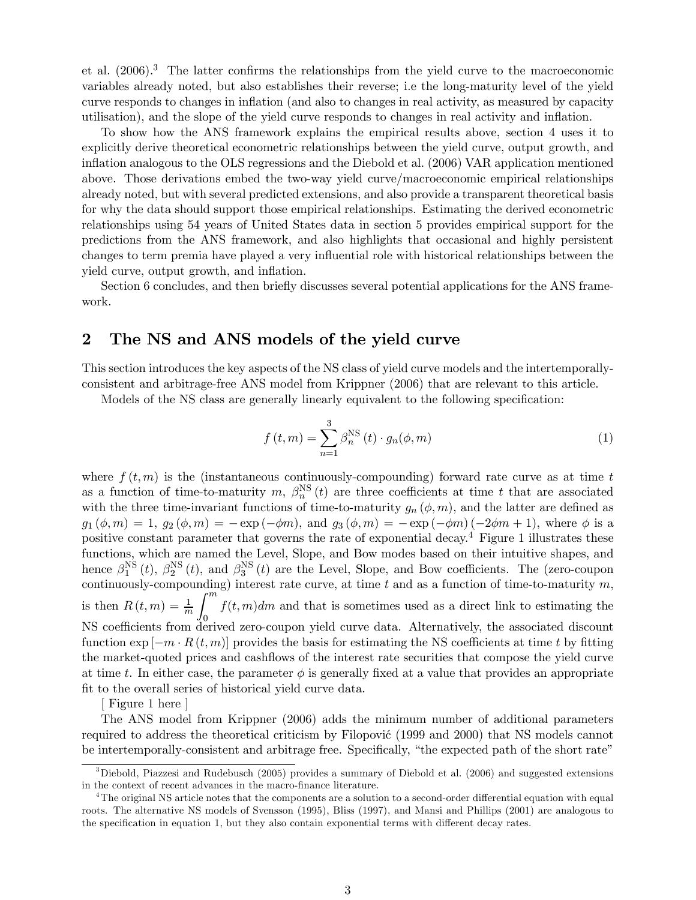et al.  $(2006)^3$ . The latter confirms the relationships from the yield curve to the macroeconomic variables already noted, but also establishes their reverse; i.e the long-maturity level of the yield curve responds to changes in inflation (and also to changes in real activity, as measured by capacity utilisation), and the slope of the yield curve responds to changes in real activity and inflation.

To show how the ANS framework explains the empirical results above, section 4 uses it to explicitly derive theoretical econometric relationships between the yield curve, output growth, and inflation analogous to the OLS regressions and the Diebold et al. (2006) VAR application mentioned above. Those derivations embed the two-way yield curve/macroeconomic empirical relationships already noted, but with several predicted extensions, and also provide a transparent theoretical basis for why the data should support those empirical relationships. Estimating the derived econometric relationships using 54 years of United States data in section 5 provides empirical support for the predictions from the ANS framework, and also highlights that occasional and highly persistent changes to term premia have played a very influential role with historical relationships between the yield curve, output growth, and inflation.

Section 6 concludes, and then briefly discusses several potential applications for the ANS framework.

### 2 The NS and ANS models of the yield curve

This section introduces the key aspects of the NS class of yield curve models and the intertemporallyconsistent and arbitrage-free ANS model from Krippner (2006) that are relevant to this article.

Models of the NS class are generally linearly equivalent to the following specification:

$$
f(t,m) = \sum_{n=1}^{3} \beta_n^{\text{NS}}(t) \cdot g_n(\phi, m)
$$
 (1)

where  $f(t, m)$  is the (instantaneous continuously-compounding) forward rate curve as at time t as a function of time-to-maturity m,  $\beta_n^{NS}(t)$  are three coefficients at time t that are associated with the three time-invariant functions of time-to-maturity  $g_n(\phi, m)$ , and the latter are defined as  $g_1 (\phi, m) = 1, g_2 (\phi, m) = - \exp(-\phi m),$  and  $g_3 (\phi, m) = - \exp(-\phi m) (-2\phi m + 1),$  where  $\phi$  is a positive constant parameter that governs the rate of exponential decay.<sup>4</sup> Figure 1 illustrates these functions, which are named the Level, Slope, and Bow modes based on their intuitive shapes, and hence  $\beta_1^{\text{NS}}(t)$ ,  $\beta_2^{\text{NS}}(t)$ , and  $\beta_3^{\text{NS}}(t)$  are the Level, Slope, and Bow coefficients. The (zero-coupon continuously-compounding) interest rate curve, at time t and as a function of time-to-maturity  $m$ , is then  $R(t, m) = \frac{1}{m}$  $\int$ <sup>m</sup> 0  $f(t, m)dm$  and that is sometimes used as a direct link to estimating the NS coefficients from derived zero-coupon yield curve data. Alternatively, the associated discount function  $\exp[-m \cdot R(t,m)]$  provides the basis for estimating the NS coefficients at time t by fitting the market-quoted prices and cashflows of the interest rate securities that compose the yield curve at time t. In either case, the parameter  $\phi$  is generally fixed at a value that provides an appropriate fit to the overall series of historical yield curve data.

[ Figure 1 here ]

The ANS model from Krippner (2006) adds the minimum number of additional parameters required to address the theoretical criticism by Filopović (1999 and 2000) that NS models cannot be intertemporally-consistent and arbitrage free. Specifically, "the expected path of the short rate"

<sup>&</sup>lt;sup>3</sup>Diebold, Piazzesi and Rudebusch (2005) provides a summary of Diebold et al. (2006) and suggested extensions in the context of recent advances in the macro-finance literature.

<sup>&</sup>lt;sup>4</sup>The original NS article notes that the components are a solution to a second-order differential equation with equal roots. The alternative NS models of Svensson (1995), Bliss (1997), and Mansi and Phillips (2001) are analogous to the specification in equation 1, but they also contain exponential terms with different decay rates.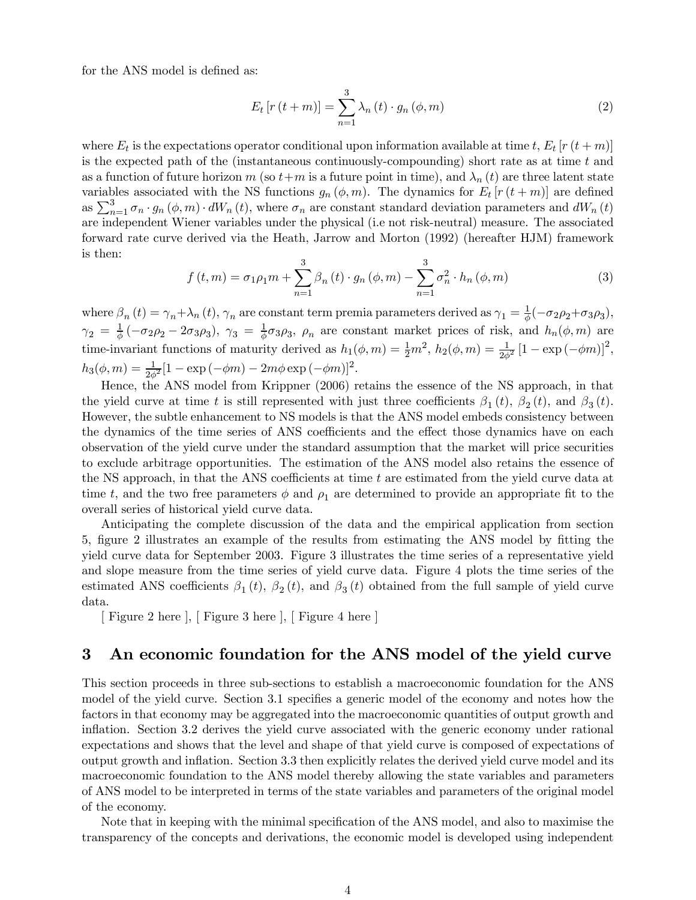for the ANS model is defined as:

$$
E_t\left[r\left(t+m\right)\right] = \sum_{n=1}^3 \lambda_n\left(t\right) \cdot g_n\left(\phi, m\right) \tag{2}
$$

where  $E_t$  is the expectations operator conditional upon information available at time t,  $E_t$  [r  $(t + m)$ ] is the expected path of the (instantaneous continuously-compounding) short rate as at time  $t$  and as a function of future horizon m (so  $t+m$  is a future point in time), and  $\lambda_n(t)$  are three latent state variables associated with the NS functions  $g_n(\phi, m)$ . The dynamics for  $E_t$  [r (t+m)] are defined as  $\sum_{n=1}^{3} \sigma_n \cdot g_n (\phi, m) \cdot dW_n (t)$ , where  $\sigma_n$  are constant standard deviation parameters and  $dW_n (t)$ are independent Wiener variables under the physical (i.e not risk-neutral) measure. The associated forward rate curve derived via the Heath, Jarrow and Morton (1992) (hereafter HJM) framework is then:

$$
f(t,m) = \sigma_1 \rho_1 m + \sum_{n=1}^{3} \beta_n(t) \cdot g_n(\phi, m) - \sum_{n=1}^{3} \sigma_n^2 \cdot h_n(\phi, m)
$$
 (3)

where  $\beta_n(t) = \gamma_n + \lambda_n(t)$ ,  $\gamma_n$  are constant term premia parameters derived as  $\gamma_1 = \frac{1}{\phi}(-\sigma_2\rho_2 + \sigma_3\rho_3)$ ,  $\gamma_2 = \frac{1}{\phi}(-\sigma_2\rho_2 - 2\sigma_3\rho_3)$ ,  $\gamma_3 = \frac{1}{\phi}\sigma_3\rho_3$ ,  $\rho_n$  are constant market prices of risk, and  $h_n(\phi,m)$  are time-invariant functions of maturity derived as  $h_1(\phi, m) = \frac{1}{2}m^2$ ,  $h_2(\phi, m) = \frac{1}{2\phi^2} [1 - \exp(-\phi m)]^2$ ,  $h_3(\phi, m) = \frac{1}{2\phi^2} [1 - \exp(-\phi m) - 2m\phi \exp(-\phi m)]^2.$ 

Hence, the ANS model from Krippner (2006) retains the essence of the NS approach, in that the yield curve at time t is still represented with just three coefficients  $\beta_1(t)$ ,  $\beta_2(t)$ , and  $\beta_3(t)$ . However, the subtle enhancement to NS models is that the ANS model embeds consistency between the dynamics of the time series of ANS coefficients and the effect those dynamics have on each observation of the yield curve under the standard assumption that the market will price securities to exclude arbitrage opportunities. The estimation of the ANS model also retains the essence of the NS approach, in that the ANS coefficients at time  $t$  are estimated from the yield curve data at time t, and the two free parameters  $\phi$  and  $\rho_1$  are determined to provide an appropriate fit to the overall series of historical yield curve data.

Anticipating the complete discussion of the data and the empirical application from section 5, figure 2 illustrates an example of the results from estimating the ANS model by fitting the yield curve data for September 2003. Figure 3 illustrates the time series of a representative yield and slope measure from the time series of yield curve data. Figure 4 plots the time series of the estimated ANS coefficients  $\beta_1(t)$ ,  $\beta_2(t)$ , and  $\beta_3(t)$  obtained from the full sample of yield curve data.

[ Figure 2 here ], [ Figure 3 here ], [ Figure 4 here ]

### 3 An economic foundation for the ANS model of the yield curve

This section proceeds in three sub-sections to establish a macroeconomic foundation for the ANS model of the yield curve. Section 3.1 specifies a generic model of the economy and notes how the factors in that economy may be aggregated into the macroeconomic quantities of output growth and inflation. Section 3.2 derives the yield curve associated with the generic economy under rational expectations and shows that the level and shape of that yield curve is composed of expectations of output growth and inflation. Section 3.3 then explicitly relates the derived yield curve model and its macroeconomic foundation to the ANS model thereby allowing the state variables and parameters of ANS model to be interpreted in terms of the state variables and parameters of the original model of the economy.

Note that in keeping with the minimal specification of the ANS model, and also to maximise the transparency of the concepts and derivations, the economic model is developed using independent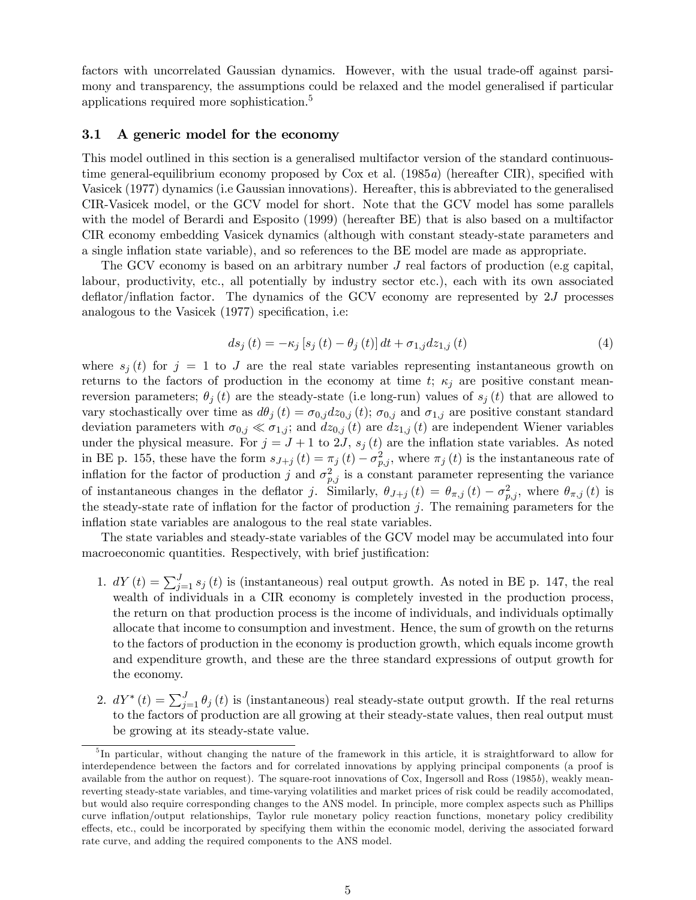factors with uncorrelated Gaussian dynamics. However, with the usual trade-off against parsimony and transparency, the assumptions could be relaxed and the model generalised if particular applications required more sophistication.<sup>5</sup>

#### 3.1 A generic model for the economy

This model outlined in this section is a generalised multifactor version of the standard continuoustime general-equilibrium economy proposed by Cox et al. (1985a) (hereafter CIR), specified with Vasicek (1977) dynamics (i.e Gaussian innovations). Hereafter, this is abbreviated to the generalised CIR-Vasicek model, or the GCV model for short. Note that the GCV model has some parallels with the model of Berardi and Esposito (1999) (hereafter BE) that is also based on a multifactor CIR economy embedding Vasicek dynamics (although with constant steady-state parameters and a single inflation state variable), and so references to the BE model are made as appropriate.

The GCV economy is based on an arbitrary number J real factors of production (e.g capital, labour, productivity, etc., all potentially by industry sector etc.), each with its own associated deflator/inflation factor. The dynamics of the GCV economy are represented by 2J processes analogous to the Vasicek (1977) specification, i.e:

$$
ds_{j}(t) = -\kappa_{j} [s_{j}(t) - \theta_{j}(t)] dt + \sigma_{1,j} dz_{1,j}(t)
$$
\n(4)

where  $s_j(t)$  for  $j = 1$  to J are the real state variables representing instantaneous growth on returns to the factors of production in the economy at time t;  $\kappa_i$  are positive constant meanreversion parameters;  $\theta_i(t)$  are the steady-state (i.e long-run) values of  $s_i(t)$  that are allowed to vary stochastically over time as  $d\theta_j(t) = \sigma_{0,j}dz_{0,j}(t)$ ;  $\sigma_{0,j}$  and  $\sigma_{1,j}$  are positive constant standard deviation parameters with  $\sigma_{0,j} \ll \sigma_{1,j}$ ; and  $dz_{0,j}(t)$  are  $dz_{1,j}(t)$  are independent Wiener variables under the physical measure. For  $j = J + 1$  to 2J,  $s_j(t)$  are the inflation state variables. As noted in BE p. 155, these have the form  $s_{J+j} (t) = \pi_j (t) - \sigma_{p,j}^2$ , where  $\pi_j (t)$  is the instantaneous rate of inflation for the factor of production j and  $\sigma_{p,j}^2$  is a constant parameter representing the variance of instantaneous changes in the deflator j. Similarly,  $\theta_{J+j}(t) = \theta_{\pi,j}(t) - \sigma_{p,j}^2$ , where  $\theta_{\pi,j}(t)$  is the steady-state rate of inflation for the factor of production  $j$ . The remaining parameters for the inflation state variables are analogous to the real state variables.

The state variables and steady-state variables of the GCV model may be accumulated into four macroeconomic quantities. Respectively, with brief justification:

- 1.  $dY(t) = \sum_{j=1}^{J} s_j(t)$  is (instantaneous) real output growth. As noted in BE p. 147, the real wealth of individuals in a CIR economy is completely invested in the production process, the return on that production process is the income of individuals, and individuals optimally allocate that income to consumption and investment. Hence, the sum of growth on the returns to the factors of production in the economy is production growth, which equals income growth and expenditure growth, and these are the three standard expressions of output growth for the economy.
- 2.  $dY^*(t) = \sum_{j=1}^J \theta_j(t)$  is (instantaneous) real steady-state output growth. If the real returns to the factors of production are all growing at their steady-state values, then real output must be growing at its steady-state value.

<sup>&</sup>lt;sup>5</sup>In particular, without changing the nature of the framework in this article, it is straightforward to allow for interdependence between the factors and for correlated innovations by applying principal components (a proof is available from the author on request). The square-root innovations of Cox, Ingersoll and Ross (1985b), weakly meanreverting steady-state variables, and time-varying volatilities and market prices of risk could be readily accomodated, but would also require corresponding changes to the ANS model. In principle, more complex aspects such as Phillips curve inflation/output relationships, Taylor rule monetary policy reaction functions, monetary policy credibility effects, etc., could be incorporated by specifying them within the economic model, deriving the associated forward rate curve, and adding the required components to the ANS model.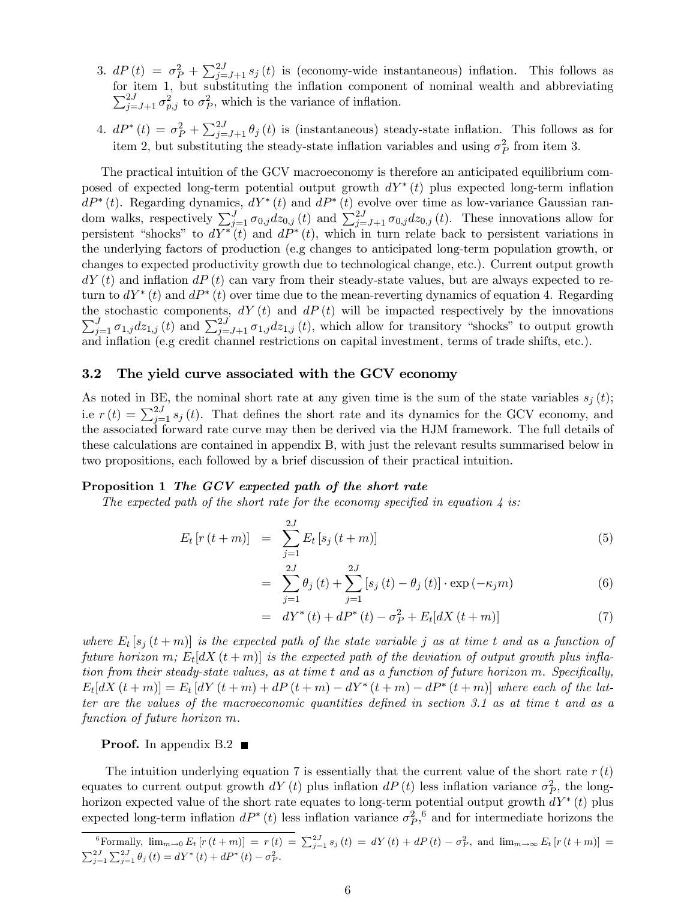- 3.  $dP(t) = \sigma_P^2 + \sum_{j=J+1}^{2J} s_j(t)$  is (economy-wide instantaneous) inflation. This follows as  $\sum_{j=J+1}^{2J} \sigma_{p,j}^2$  to  $\sigma_P^2$ , which is the variance of inflation. for item 1, but substituting the inflation component of nominal wealth and abbreviating
- 4.  $dP^*(t) = \sigma_P^2 + \sum_{j=J+1}^{2J} \theta_j(t)$  is (instantaneous) steady-state inflation. This follows as for item 2, but substituting the steady-state inflation variables and using  $\sigma_P^2$  from item 3.

The practical intuition of the GCV macroeconomy is therefore an anticipated equilibrium composed of expected long-term potential output growth  $dY^*(t)$  plus expected long-term inflation  $dP^*(t)$ . Regarding dynamics,  $dY^*(t)$  and  $dP^*(t)$  evolve over time as low-variance Gaussian random walks, respectively  $\sum_{j=1}^{J} \sigma_{0,j} dz_{0,j} (t)$  and  $\sum_{j=J+1}^{2J} \sigma_{0,j} dz_{0,j} (t)$ . These innovations allow for persistent "shocks" to  $dY^*(t)$  and  $dP^*(t)$ , which in turn relate back to persistent variations in the underlying factors of production (e.g changes to anticipated long-term population growth, or changes to expected productivity growth due to technological change, etc.). Current output growth  $dY(t)$  and inflation  $dP(t)$  can vary from their steady-state values, but are always expected to return to  $dY^*(t)$  and  $dP^*(t)$  over time due to the mean-reverting dynamics of equation 4. Regarding the stochastic components,  $dY(t)$  and  $dP(t)$  will be impacted respectively by the innovations  $\sum_{j=1}^{J} \sigma_{1,j} dz_{1,j} (t)$  and  $\sum_{j=J+1}^{2J} \sigma_{1,j} dz_{1,j} (t)$ , which allow for transitory "shocks" to output growth and inflation (e.g credit channel restrictions on capital investment, terms of trade shifts, etc.).

#### 3.2 The yield curve associated with the GCV economy

As noted in BE, the nominal short rate at any given time is the sum of the state variables  $s_i(t)$ ; i.e  $r(t) = \sum_{j=1}^{2J} s_j(t)$ . That defines the short rate and its dynamics for the GCV economy, and the associated forward rate curve may then be derived via the HJM framework. The full details of these calculations are contained in appendix B, with just the relevant results summarised below in two propositions, each followed by a brief discussion of their practical intuition.

#### Proposition 1 The GCV expected path of the short rate

The expected path of the short rate for the economy specified in equation  $\lambda$  is:

$$
E_t [r(t+m)] = \sum_{j=1}^{2J} E_t [s_j(t+m)] \tag{5}
$$

$$
= \sum_{j=1}^{2J} \theta_j(t) + \sum_{j=1}^{2J} \left[ s_j(t) - \theta_j(t) \right] \cdot \exp(-\kappa_j m) \tag{6}
$$

$$
= dY^*(t) + dP^*(t) - \sigma_P^2 + E_t[dX(t+m)] \tag{7}
$$

where  $E_t$  [s<sub>j</sub> (t + m)] is the expected path of the state variable j as at time t and as a function of future horizon m;  $E_t[dX(t+m)]$  is the expected path of the deviation of output growth plus inflation from their steady-state values, as at time t and as a function of future horizon m. Specifically,  $E_t[dX(t+m)] = E_t[dY(t+m) + dP(t+m) - dY^*(t+m) - dP^*(t+m)]$  where each of the latter are the values of the macroeconomic quantities defined in section 3.1 as at time t and as a function of future horizon m.

#### **Proof.** In appendix B.2  $\blacksquare$

The intuition underlying equation 7 is essentially that the current value of the short rate  $r(t)$ equates to current output growth  $dY(t)$  plus inflation  $dP(t)$  less inflation variance  $\sigma_P^2$ , the longhorizon expected value of the short rate equates to long-term potential output growth  $dY^*(t)$  plus expected long-term inflation  $dP^*(t)$  less inflation variance  $\sigma_P^2$ , and for intermediate horizons the

Formally,  $\lim_{m\to 0} E_t [r(t+m)] = r(t) = \sum_{j=1}^{2J} s_j(t) = dY(t) + dP(t) - \sigma_P^2$ , and  $\lim_{m\to \infty} E_t [r(t+m)] =$  $\sum_{j=1}^{2J} \sum_{j=1}^{2J} \theta_j(t) = dY^*(t) + dP^*(t) - \sigma_P^2.$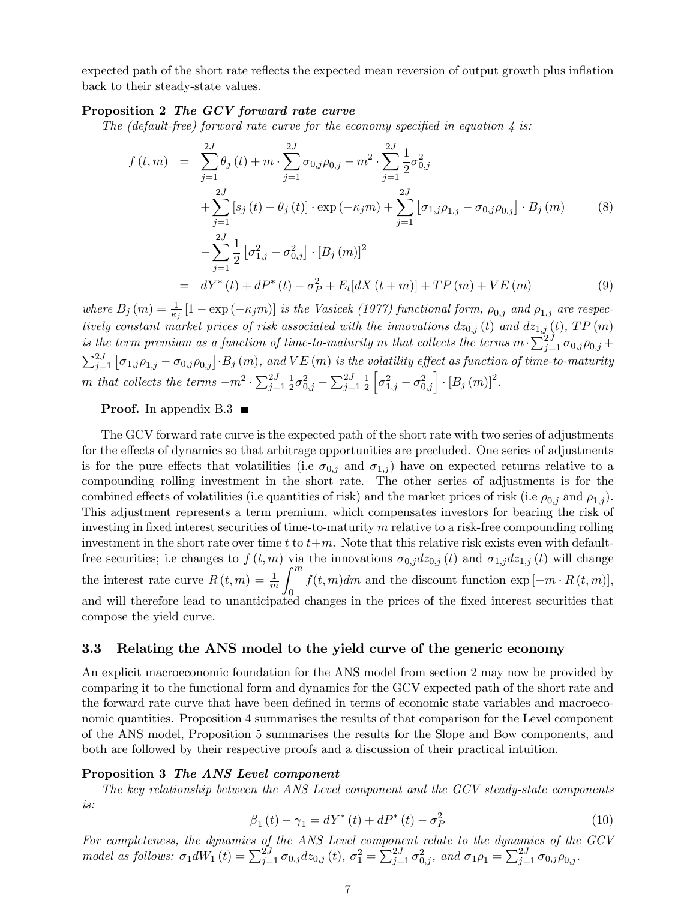expected path of the short rate reflects the expected mean reversion of output growth plus inflation back to their steady-state values.

#### Proposition 2 The GCV forward rate curve

The (default-free) forward rate curve for the economy specified in equation  $\lambda$  is:

$$
f(t,m) = \sum_{j=1}^{2J} \theta_j(t) + m \cdot \sum_{j=1}^{2J} \sigma_{0,j} \rho_{0,j} - m^2 \cdot \sum_{j=1}^{2J} \frac{1}{2} \sigma_{0,j}^2
$$
  
+ 
$$
\sum_{j=1}^{2J} [s_j(t) - \theta_j(t)] \cdot \exp(-\kappa_j m) + \sum_{j=1}^{2J} [\sigma_{1,j} \rho_{1,j} - \sigma_{0,j} \rho_{0,j}] \cdot B_j(m)
$$
  
- 
$$
\sum_{j=1}^{2J} \frac{1}{2} [\sigma_{1,j}^2 - \sigma_{0,j}^2] \cdot [B_j(m)]^2
$$
  
= 
$$
dY^*(t) + dP^*(t) - \sigma_P^2 + E_t[dX(t+m)] + TP(m) + VE(m)
$$
 (9)

where  $B_j(m) = \frac{1}{\kappa_j} [1 - \exp(-\kappa_j m)]$  is the Vasicek (1977) functional form,  $\rho_{0,j}$  and  $\rho_{1,j}$  are respectively constant market prices of risk associated with the innovations  $dz_{0,j}(t)$  and  $dz_{1,j}(t)$ ,  $TP(m)$ is the term premium as a function of time-to-maturity m that collects the terms  $m\cdot\sum_{j=1}^{2J}\sigma_{0,j}\rho_{0,j}+1$  $\sum_{j=1}^{2J} [\sigma_{1,j}\rho_{1,j} - \sigma_{0,j}\rho_{0,j}] \cdot B_j(m)$ , and  $VE(m)$  is the volatility effect as function of time-to-maturity m that collects the terms  $-m^2 \cdot \sum_{j=1}^{2J} \frac{1}{2} \sigma_{0,j}^2 - \sum_{j=1}^{2J} \frac{1}{2}$  $\overline{2}$  $\left[\sigma_{1,j}^2-\sigma_{0,j}^2\right]\cdot\left[B_j\left(m\right)\right]^2$ .

#### **Proof.** In appendix  $B.3$

The GCV forward rate curve is the expected path of the short rate with two series of adjustments for the effects of dynamics so that arbitrage opportunities are precluded. One series of adjustments is for the pure effects that volatilities (i.e  $\sigma_{0,i}$  and  $\sigma_{1,i}$ ) have on expected returns relative to a compounding rolling investment in the short rate. The other series of adjustments is for the combined effects of volatilities (i.e quantities of risk) and the market prices of risk (i.e  $\rho_{0,i}$  and  $\rho_{1,i}$ ). This adjustment represents a term premium, which compensates investors for bearing the risk of investing in fixed interest securities of time-to-maturity  $m$  relative to a risk-free compounding rolling investment in the short rate over time t to  $t+m$ . Note that this relative risk exists even with defaultfree securities; i.e changes to  $f(t, m)$  via the innovations  $\sigma_{0,j}dz_{0,j}(t)$  and  $\sigma_{1,j}dz_{1,j}(t)$  will change the interest rate curve  $R(t, m) = \frac{1}{m}$  $\int$ <sup>m</sup>  $f(t, m)dm$  and the discount function  $\exp[-m \cdot R(t, m)],$ and will therefore lead to unanticipated changes in the prices of the fixed interest securities that compose the yield curve.

#### 3.3 Relating the ANS model to the yield curve of the generic economy

An explicit macroeconomic foundation for the ANS model from section 2 may now be provided by comparing it to the functional form and dynamics for the GCV expected path of the short rate and the forward rate curve that have been defined in terms of economic state variables and macroeconomic quantities. Proposition 4 summarises the results of that comparison for the Level component of the ANS model, Proposition 5 summarises the results for the Slope and Bow components, and both are followed by their respective proofs and a discussion of their practical intuition.

#### Proposition 3 The ANS Level component

The key relationship between the ANS Level component and the GCV steady-state components is:

$$
\beta_1(t) - \gamma_1 = dY^*(t) + dP^*(t) - \sigma_P^2 \tag{10}
$$

For completeness, the dynamics of the ANS Level component relate to the dynamics of the GCV model as follows:  $\sigma_1 dW_1(t) = \sum_{j=1}^{2J} \sigma_{0,j} dz_{0,j}(t)$ ,  $\sigma_1^2 = \sum_{j=1}^{2J} \sigma_{0,j}^2$ , and  $\sigma_1 \rho_1 = \sum_{j=1}^{2J} \sigma_{0,j} \rho_{0,j}$ .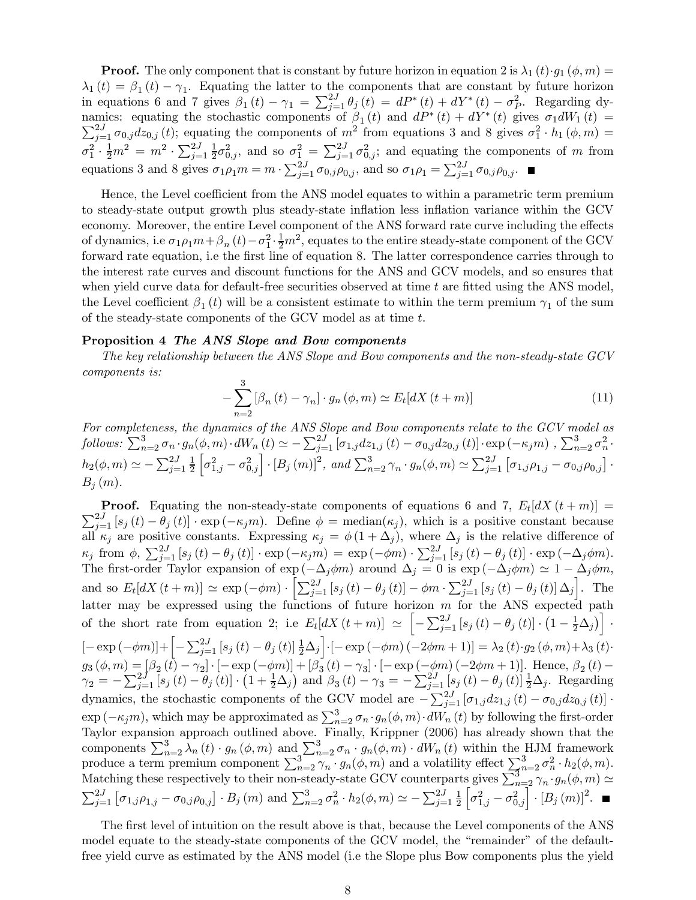**Proof.** The only component that is constant by future horizon in equation 2 is  $\lambda_1(t) \cdot q_1(\phi, m) =$  $\lambda_1(t) = \beta_1(t) - \gamma_1$ . Equating the latter to the components that are constant by future horizon in equations 6 and 7 gives  $\beta_1(t) - \gamma_1 = \sum_{j=1}^{2J} \theta_j(t) = dP^*(t) + dY^*(t) - \sigma_P^2$ . Regarding dynamics: equating the stochastic components of  $\beta_1(t)$  and  $dP^*(t) + dY^*(t)$  gives  $\sigma_1 dW_1(t) =$  $\sum_{j=1}^{2J} \sigma_{0,j} dz_{0,j} (t)$ ; equating the components of  $m^2$  from equations 3 and 8 gives  $\sigma_1^2 \cdot h_1 (\phi, m) =$  $\sigma_1^2 \cdot \frac{1}{2} m^2 = m^2 \cdot \sum_{j=1}^{2J} \frac{1}{2} \sigma_{0,j}^2$ , and so  $\sigma_1^2 = \sum_{j=1}^{2J} \sigma_{0,j}^2$ ; and equating the components of m from equations 3 and 8 gives  $\sigma_1 \rho_1 m = m \cdot \sum_{j=1}^{2J} \sigma_{0,j} \rho_{0,j}$ , and so  $\sigma_1 \rho_1 = \sum_{j=1}^{2J} \sigma_{0,j} \rho_{0,j}$ .

Hence, the Level coefficient from the ANS model equates to within a parametric term premium to steady-state output growth plus steady-state inflation less inflation variance within the GCV economy. Moreover, the entire Level component of the ANS forward rate curve including the effects of dynamics, i.e  $\sigma_1 \rho_1 m + \beta_n (t) - \sigma_1^2 \cdot \frac{1}{2} m^2$ , equates to the entire steady-state component of the GCV forward rate equation, i.e the first line of equation 8. The latter correspondence carries through to the interest rate curves and discount functions for the ANS and GCV models, and so ensures that when yield curve data for default-free securities observed at time  $t$  are fitted using the ANS model, the Level coefficient  $\beta_1(t)$  will be a consistent estimate to within the term premium  $\gamma_1$  of the sum of the steady-state components of the GCV model as at time t.

#### Proposition 4 The ANS Slope and Bow components

The key relationship between the ANS Slope and Bow components and the non-steady-state GCV components is:

$$
-\sum_{n=2}^{3} \left[\beta_n(t) - \gamma_n\right] \cdot g_n\left(\phi, m\right) \simeq E_t[dX(t+m)]\tag{11}
$$

For completeness, the dynamics of the ANS Slope and Bow components relate to the GCV model as  $\text{follows: } \sum_{n=2}^{3} \sigma_n \cdot g_n(\phi, m) \cdot dW_n(t) \simeq -\sum_{j=1}^{2J} \left[ \sigma_{1,j} dz_{1,j}(t) - \sigma_{0,j} dz_{0,j}(t) \right] \cdot \exp(-\kappa_j m) , \sum_{n=2}^{3} \sigma_n^2 \cdot$  $h_2(\phi, m) \simeq -\sum_{j=1}^{2J} \frac{1}{2}$ 2  $\left[\sigma_{1,j}^2-\sigma_{0,j}^2\right]\cdot\left[B_j\left(m\right)\right]^2$ , and  $\sum_{n=2}^3\gamma_n\cdot g_n(\phi,m)\simeq\sum_{j=1}^{2J}\left[\sigma_{1,j}\rho_{1,j}-\sigma_{0,j}\rho_{0,j}\right]$ .  $B_i(m)$ .

**Proof.** Equating the non-steady-state components of equations 6 and 7,  $E_t[dX(t+m)] =$  $\sum_{j=1}^{2J} [s_j(t) - \theta_j(t)] \cdot \exp(-\kappa_j m)$ . Define  $\phi = \text{median}(\kappa_j)$ , which is a positive constant because all  $\kappa_j$  are positive constants. Expressing  $\kappa_j = \phi(1 + \Delta_j)$ , where  $\Delta_j$  is the relative difference of  $\kappa_j$  from  $\phi$ ,  $\sum_{j=1}^{2J} [s_j(t) - \theta_j(t)] \cdot \exp(-\kappa_j m) = \exp(-\phi m) \cdot \sum_{j=1}^{2J} [s_j(t) - \theta_j(t)] \cdot \exp(-\Delta_j \phi m)$ . The first-order Taylor expansion of exp  $(-\Delta_j \phi m)$  around  $\Delta_j = 0$  is exp  $(-\Delta_j \phi m) \simeq 1 - \Delta_j \phi m$ , and so  $E_t[dX(t+m)] \simeq \exp(-\phi m) \cdot \left[ \sum_{j=1}^{2J} \left[ s_j(t) - \theta_j(t) \right] - \phi m \cdot \sum_{j=1}^{2J} \left[ s_j(t) - \theta_j(t) \right] \Delta_j \right]$ . The latter may be expressed using the functions of future horizon  $m$  for the ANS expected path of the short rate from equation 2; i.e  $E_t[dX(t+m)] \approx \left[ -\sum_{j=1}^{2J} [s_j(t) - \theta_j(t)] \cdot (1 - \frac{1}{2}\Delta_j) \right]$ .  $[- \exp(-\phi m)] + \left[ -\sum_{j=1}^{2J} [s_j(t) - \theta_j(t)] \frac{1}{2} \Delta_j \right] \cdot [- \exp(-\phi m) (-2\phi m + 1)] = \lambda_2(t) \cdot g_2(\phi, m) + \lambda_3(t)$  $g_3 (\phi, m) = [\beta_2 (t) - \gamma_2] \cdot [- \exp(-\phi m)] + [\beta_3 (t) - \gamma_3] \cdot [- \exp(-\phi m) (-2\phi m + 1)].$  Hence,  $\beta_2 (t) \gamma_2 = -\sum_{j=1}^{2J} [s_j(t) - \theta_j(t)] \cdot (1 + \frac{1}{2}\Delta_j)$  and  $\beta_3(t) - \gamma_3 = -\sum_{j=1}^{2J} [s_j(t) - \theta_j(t)] \frac{1}{2}\Delta_j$ . Regarding dynamics, the stochastic components of the GCV model are  $-\sum_{j=1}^{2J} [\sigma_{1,j}dz_{1,j}(t) - \sigma_{0,j}dz_{0,j}(t)]$ .  $\exp(-\kappa_j m)$ , which may be approximated as  $\sum_{n=2}^{3} \sigma_n \cdot g_n(\phi, m) \cdot dW_n(t)$  by following the first-order Taylor expansion approach outlined above. Finally, Krippner (2006) has already shown that the components  $\sum_{n=2}^{3} \lambda_n(t) \cdot g_n(\phi, m)$  and  $\sum_{n=2}^{3} \sigma_n \cdot g_n(\phi, m) \cdot dW_n(t)$  within the HJM framework produce a term premium component  $\sum_{n=2}^3 \gamma_n \cdot g_n(\phi, m)$  and a volatility effect  $\sum_{n=2}^3 \sigma_n^2 \cdot h_2(\phi, m)$ . Matching these respectively to their non-steady-state GCV counterparts gives  $\sum_{n=2}^3 \gamma_n \cdot g_n(\phi, m) \simeq$  $\sum_{j=1}^{2J} [\sigma_{1,j}\rho_{1,j} - \sigma_{0,j}\rho_{0,j}] \cdot B_j(m)$  and  $\sum_{n=2}^{3} \sigma_n^2 \cdot h_2(\phi,m) \simeq -\sum_{j=1}^{2J} \frac{1}{2}$ 2  $\left[\sigma_{1,j}^2 - \sigma_{0,j}^2\right] \cdot [B_j(m)]^2.$ 

The first level of intuition on the result above is that, because the Level components of the ANS model equate to the steady-state components of the GCV model, the "remainder" of the defaultfree yield curve as estimated by the ANS model (i.e the Slope plus Bow components plus the yield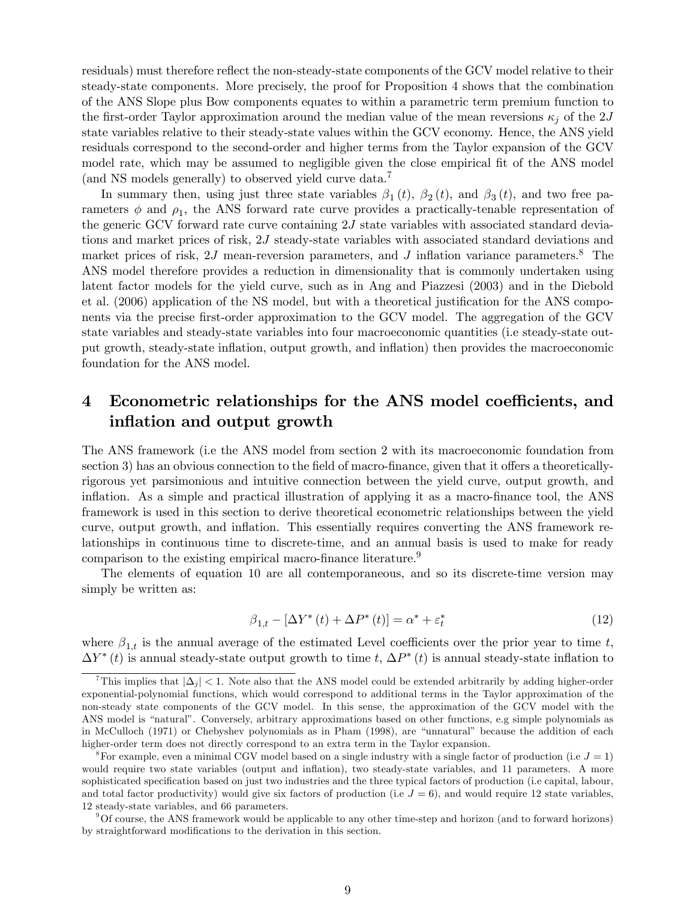residuals) must therefore reflect the non-steady-state components of the GCV model relative to their steady-state components. More precisely, the proof for Proposition 4 shows that the combination of the ANS Slope plus Bow components equates to within a parametric term premium function to the first-order Taylor approximation around the median value of the mean reversions  $\kappa_i$  of the 2J state variables relative to their steady-state values within the GCV economy. Hence, the ANS yield residuals correspond to the second-order and higher terms from the Taylor expansion of the GCV model rate, which may be assumed to negligible given the close empirical fit of the ANS model (and NS models generally) to observed yield curve data.7

In summary then, using just three state variables  $\beta_1(t)$ ,  $\beta_2(t)$ , and  $\beta_3(t)$ , and two free parameters  $\phi$  and  $\rho_1$ , the ANS forward rate curve provides a practically-tenable representation of the generic GCV forward rate curve containing 2J state variables with associated standard deviations and market prices of risk, 2J steady-state variables with associated standard deviations and market prices of risk,  $2J$  mean-reversion parameters, and  $J$  inflation variance parameters.<sup>8</sup> The ANS model therefore provides a reduction in dimensionality that is commonly undertaken using latent factor models for the yield curve, such as in Ang and Piazzesi (2003) and in the Diebold et al. (2006) application of the NS model, but with a theoretical justification for the ANS components via the precise first-order approximation to the GCV model. The aggregation of the GCV state variables and steady-state variables into four macroeconomic quantities (i.e steady-state output growth, steady-state inflation, output growth, and inflation) then provides the macroeconomic foundation for the ANS model.

## 4 Econometric relationships for the ANS model coefficients, and inflation and output growth

The ANS framework (i.e the ANS model from section 2 with its macroeconomic foundation from section 3) has an obvious connection to the field of macro-finance, given that it offers a theoreticallyrigorous yet parsimonious and intuitive connection between the yield curve, output growth, and inflation. As a simple and practical illustration of applying it as a macro-finance tool, the ANS framework is used in this section to derive theoretical econometric relationships between the yield curve, output growth, and inflation. This essentially requires converting the ANS framework relationships in continuous time to discrete-time, and an annual basis is used to make for ready comparison to the existing empirical macro-finance literature.<sup>9</sup>

The elements of equation 10 are all contemporaneous, and so its discrete-time version may simply be written as:

$$
\beta_{1,t} - \left[\Delta Y^*(t) + \Delta P^*(t)\right] = \alpha^* + \varepsilon_t^*
$$
\n(12)

where  $\beta_{1,t}$  is the annual average of the estimated Level coefficients over the prior year to time t,  $\Delta Y^*(t)$  is annual steady-state output growth to time t,  $\Delta P^*(t)$  is annual steady-state inflation to

This implies that  $|\Delta_j|$  < 1. Note also that the ANS model could be extended arbitrarily by adding higher-order exponential-polynomial functions, which would correspond to additional terms in the Taylor approximation of the non-steady state components of the GCV model. In this sense, the approximation of the GCV model with the ANS model is "natural". Conversely, arbitrary approximations based on other functions, e.g simple polynomials as in McCulloch (1971) or Chebyshev polynomials as in Pham (1998), are "unnatural" because the addition of each higher-order term does not directly correspond to an extra term in the Taylor expansion.

<sup>&</sup>lt;sup>8</sup>For example, even a minimal CGV model based on a single industry with a single factor of production (i.e  $J = 1$ ) would require two state variables (output and inflation), two steady-state variables, and 11 parameters. A more sophisticated specification based on just two industries and the three typical factors of production (i.e capital, labour, and total factor productivity) would give six factors of production (i.e  $J = 6$ ), and would require 12 state variables, 12 steady-state variables, and 66 parameters.

<sup>9</sup>Of course, the ANS framework would be applicable to any other time-step and horizon (and to forward horizons) by straightforward modifications to the derivation in this section.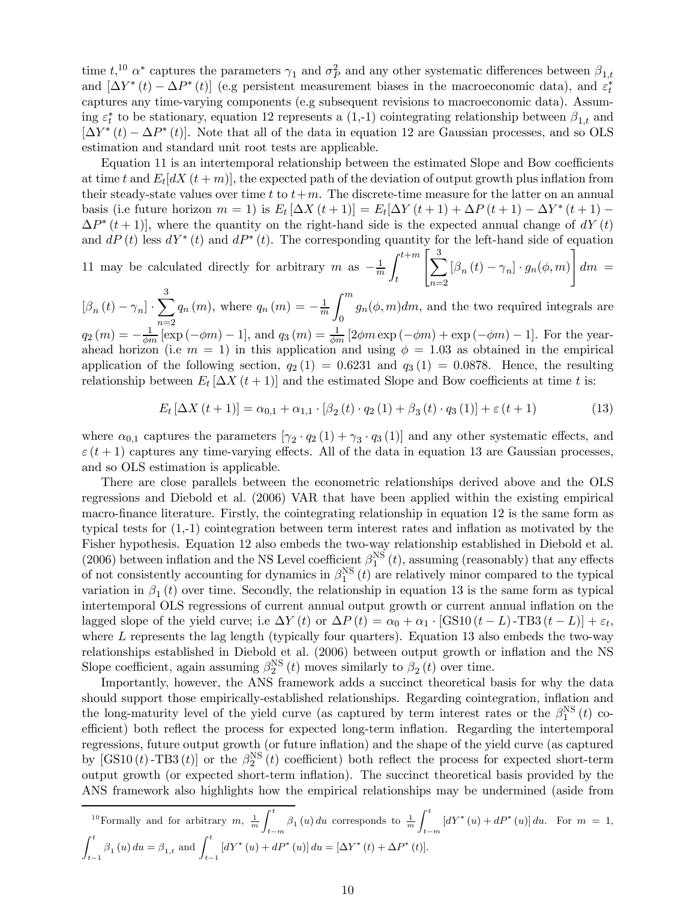time  $t,^{10}$   $\alpha^*$  captures the parameters  $\gamma_1$  and  $\sigma_P^2$  and any other systematic differences between  $\beta_{1,t}$ and  $[\Delta Y^*(t) - \Delta P^*(t)]$  (e.g persistent measurement biases in the macroeconomic data), and  $\varepsilon_t^*$ captures any time-varying components (e.g subsequent revisions to macroeconomic data). Assuming  $\varepsilon_t^*$  to be stationary, equation 12 represents a (1,-1) cointegrating relationship between  $\beta_{1,t}$  and  $[\Delta Y^*(t) - \Delta P^*(t)]$ . Note that all of the data in equation 12 are Gaussian processes, and so OLS estimation and standard unit root tests are applicable.

Equation 11 is an intertemporal relationship between the estimated Slope and Bow coefficients at time t and  $E_t[dX(t+m)]$ , the expected path of the deviation of output growth plus inflation from their steady-state values over time t to  $t+m$ . The discrete-time measure for the latter on an annual basis (i.e future horizon  $m = 1$ ) is  $E_t [\Delta X(t+1)] = E_t[\Delta Y(t+1) + \Delta P(t+1) - \Delta Y^*(t+1) \Delta P^*(t+1)$ , where the quantity on the right-hand side is the expected annual change of  $dY(t)$ and  $dP(t)$  less  $dY^*(t)$  and  $dP^*(t)$ . The corresponding quantity for the left-hand side of equation

11 may be calculated directly for arbitrary m as  $-\frac{1}{m}$  $\int_0^{t+m}$ t  $\sqrt{ }$  $\frac{3}{\sqrt{2}}$  $n=2$  $[\beta_n(t) - \gamma_n] \cdot g_n(\phi, m)$ 1  $dm =$ 

 $\left[\beta_n\left(t\right)-\gamma_n\right]\cdot \sum^3$  $q_n(m)$ , where  $q_n(m) = -\frac{1}{m}$  $\int$ <sup>m</sup> 0  $g_n(\phi, m)dm$ , and the two required integrals are

 $q_2(m) = -\frac{1}{\phi m} [\exp(-\phi m) - 1],$  and  $q_3(m) = \frac{1}{\phi m} [2\phi m \exp(-\phi m) + \exp(-\phi m) - 1].$  For the yearahead horizon (i.e  $m = 1$ ) in this application and using  $\phi = 1.03$  as obtained in the empirical application of the following section,  $q_2(1) = 0.6231$  and  $q_3(1) = 0.0878$ . Hence, the resulting relationship between  $E_t \left[ \Delta X(t+1) \right]$  and the estimated Slope and Bow coefficients at time t is:

$$
E_t \left[ \Delta X \left( t + 1 \right) \right] = \alpha_{0,1} + \alpha_{1,1} \cdot \left[ \beta_2 \left( t \right) \cdot q_2 \left( 1 \right) + \beta_3 \left( t \right) \cdot q_3 \left( 1 \right) \right] + \varepsilon \left( t + 1 \right) \tag{13}
$$

where  $\alpha_{0,1}$  captures the parameters  $[\gamma_2 \cdot q_2 (1) + \gamma_3 \cdot q_3 (1)]$  and any other systematic effects, and  $\varepsilon$  (t + 1) captures any time-varying effects. All of the data in equation 13 are Gaussian processes, and so OLS estimation is applicable.

There are close parallels between the econometric relationships derived above and the OLS regressions and Diebold et al. (2006) VAR that have been applied within the existing empirical macro-finance literature. Firstly, the cointegrating relationship in equation 12 is the same form as typical tests for (1,-1) cointegration between term interest rates and inflation as motivated by the Fisher hypothesis. Equation 12 also embeds the two-way relationship established in Diebold et al. (2006) between inflation and the NS Level coefficient  $\beta_1^{\text{NS}}(t)$ , assuming (reasonably) that any effects of not consistently accounting for dynamics in  $\beta_1^{NS}(t)$  are relatively minor compared to the typical variation in  $\beta_1(t)$  over time. Secondly, the relationship in equation 13 is the same form as typical intertemporal OLS regressions of current annual output growth or current annual inflation on the lagged slope of the yield curve; i.e  $\Delta Y(t)$  or  $\Delta P(t) = \alpha_0 + \alpha_1 \cdot [\text{GS10}(t-L) - \text{TB3}(t-L)] + \varepsilon_t$ , where  $L$  represents the lag length (typically four quarters). Equation 13 also embeds the two-way relationships established in Diebold et al. (2006) between output growth or inflation and the NS Slope coefficient, again assuming  $\beta_2^{NS}(t)$  moves similarly to  $\beta_2(t)$  over time.

Importantly, however, the ANS framework adds a succinct theoretical basis for why the data should support those empirically-established relationships. Regarding cointegration, inflation and the long-maturity level of the yield curve (as captured by term interest rates or the  $\beta_1^{NS}(t)$  coefficient) both reflect the process for expected long-term inflation. Regarding the intertemporal regressions, future output growth (or future inflation) and the shape of the yield curve (as captured by  $[\text{GS10}(t)$ -TB3 $(t)$ ] or the  $\beta_2^{NS}(t)$  coefficient) both reflect the process for expected short-term output growth (or expected short-term inflation). The succinct theoretical basis provided by the ANS framework also highlights how the empirical relationships may be undermined (aside from

$$
{}^{10}\text{Formally and for arbitrary } m, \frac{1}{m} \int_{t-m}^{t} \beta_1(u) du \text{ corresponds to } \frac{1}{m} \int_{t-m}^{t} \left[ dY^*(u) + dP^*(u) \right] du. \text{ For } m = 1,
$$
  

$$
\int_{t-1}^{t} \beta_1(u) du = \beta_{1,t} \text{ and } \int_{t-1}^{t} \left[ dY^*(u) + dP^*(u) \right] du = \left[ \Delta Y^*(t) + \Delta P^*(t) \right].
$$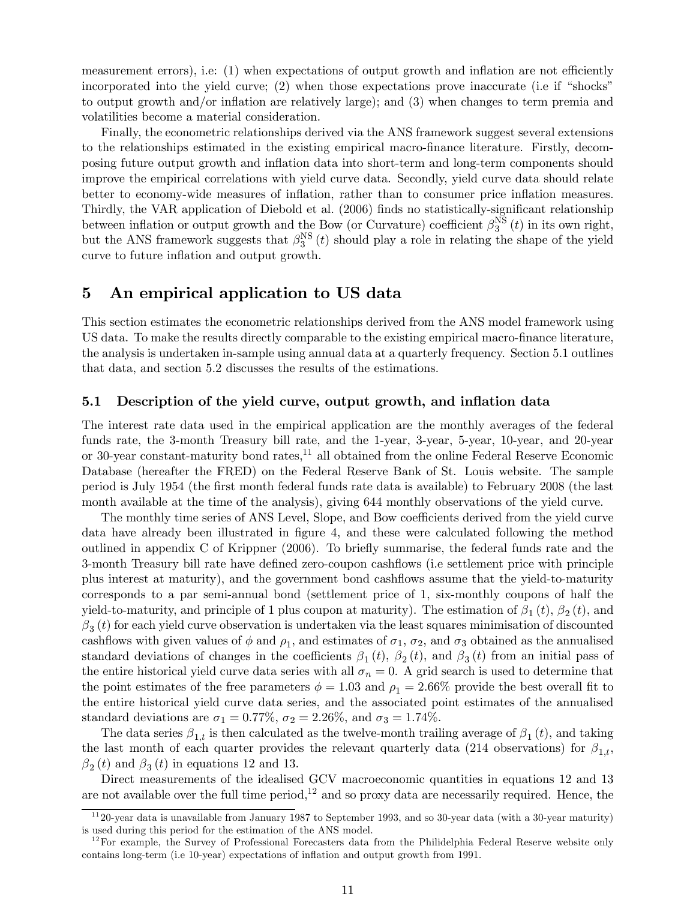measurement errors), i.e: (1) when expectations of output growth and inflation are not efficiently incorporated into the yield curve; (2) when those expectations prove inaccurate (i.e if "shocks" to output growth and/or inflation are relatively large); and (3) when changes to term premia and volatilities become a material consideration.

Finally, the econometric relationships derived via the ANS framework suggest several extensions to the relationships estimated in the existing empirical macro-finance literature. Firstly, decomposing future output growth and inflation data into short-term and long-term components should improve the empirical correlations with yield curve data. Secondly, yield curve data should relate better to economy-wide measures of inflation, rather than to consumer price inflation measures. Thirdly, the VAR application of Diebold et al. (2006) finds no statistically-significant relationship between inflation or output growth and the Bow (or Curvature) coefficient  $\beta_3^{NS}(t)$  in its own right, but the ANS framework suggests that  $\beta_3^{NS}(t)$  should play a role in relating the shape of the yield curve to future inflation and output growth.

### 5 An empirical application to US data

This section estimates the econometric relationships derived from the ANS model framework using US data. To make the results directly comparable to the existing empirical macro-finance literature, the analysis is undertaken in-sample using annual data at a quarterly frequency. Section 5.1 outlines that data, and section 5.2 discusses the results of the estimations.

#### 5.1 Description of the yield curve, output growth, and inflation data

The interest rate data used in the empirical application are the monthly averages of the federal funds rate, the 3-month Treasury bill rate, and the 1-year, 3-year, 5-year, 10-year, and 20-year or 30-year constant-maturity bond rates, $^{11}$  all obtained from the online Federal Reserve Economic Database (hereafter the FRED) on the Federal Reserve Bank of St. Louis website. The sample period is July 1954 (the first month federal funds rate data is available) to February 2008 (the last month available at the time of the analysis), giving 644 monthly observations of the yield curve.

The monthly time series of ANS Level, Slope, and Bow coefficients derived from the yield curve data have already been illustrated in figure 4, and these were calculated following the method outlined in appendix C of Krippner (2006). To briefly summarise, the federal funds rate and the 3-month Treasury bill rate have defined zero-coupon cashflows (i.e settlement price with principle plus interest at maturity), and the government bond cashflows assume that the yield-to-maturity corresponds to a par semi-annual bond (settlement price of 1, six-monthly coupons of half the yield-to-maturity, and principle of 1 plus coupon at maturity). The estimation of  $\beta_1(t)$ ,  $\beta_2(t)$ , and  $\beta_3(t)$  for each yield curve observation is undertaken via the least squares minimisation of discounted cashflows with given values of  $\phi$  and  $\rho_1$ , and estimates of  $\sigma_1$ ,  $\sigma_2$ , and  $\sigma_3$  obtained as the annualised standard deviations of changes in the coefficients  $\beta_1(t)$ ,  $\beta_2(t)$ , and  $\beta_3(t)$  from an initial pass of the entire historical yield curve data series with all  $\sigma_n = 0$ . A grid search is used to determine that the point estimates of the free parameters  $\phi = 1.03$  and  $\rho_1 = 2.66\%$  provide the best overall fit to the entire historical yield curve data series, and the associated point estimates of the annualised standard deviations are  $\sigma_1 = 0.77\%$ ,  $\sigma_2 = 2.26\%$ , and  $\sigma_3 = 1.74\%$ .

The data series  $\beta_{1,t}$  is then calculated as the twelve-month trailing average of  $\beta_1(t)$ , and taking the last month of each quarter provides the relevant quarterly data (214 observations) for  $\beta_{1,t}$ ,  $\beta_2(t)$  and  $\beta_3(t)$  in equations 12 and 13.

Direct measurements of the idealised GCV macroeconomic quantities in equations 12 and 13 are not available over the full time period,<sup>12</sup> and so proxy data are necessarily required. Hence, the

 $\frac{11}{20}$ -year data is unavailable from January 1987 to September 1993, and so 30-year data (with a 30-year maturity) is used during this period for the estimation of the ANS model.

 $12$  For example, the Survey of Professional Forecasters data from the Philidelphia Federal Reserve website only contains long-term (i.e 10-year) expectations of inflation and output growth from 1991.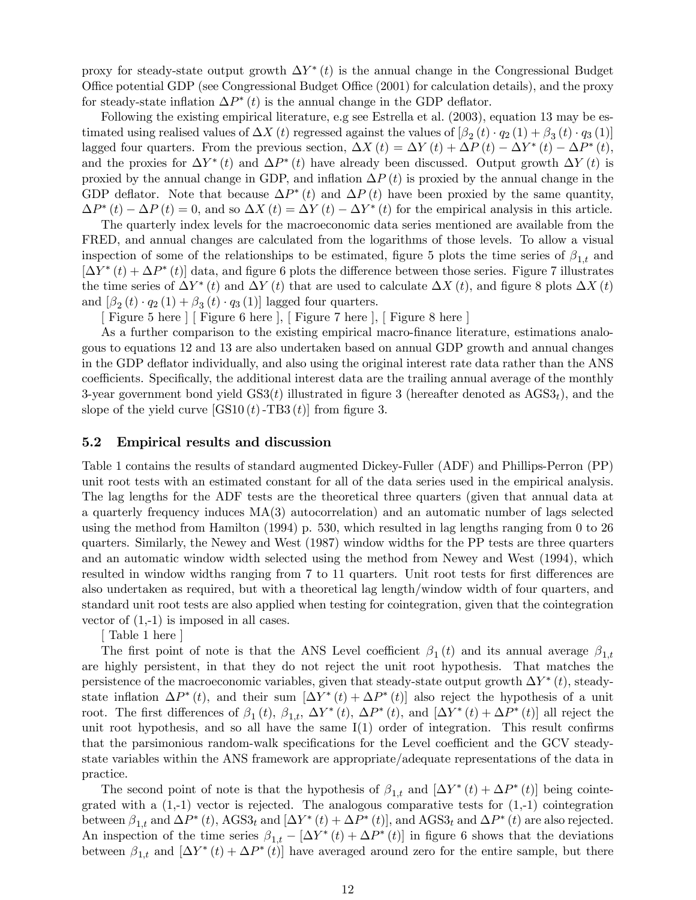proxy for steady-state output growth  $\Delta Y^*(t)$  is the annual change in the Congressional Budget Office potential GDP (see Congressional Budget Office (2001) for calculation details), and the proxy for steady-state inflation  $\Delta P^*(t)$  is the annual change in the GDP deflator.

Following the existing empirical literature, e.g see Estrella et al. (2003), equation 13 may be estimated using realised values of  $\Delta X(t)$  regressed against the values of  $\beta_2(t) \cdot q_2(1) + \beta_3(t) \cdot q_3(1)$ lagged four quarters. From the previous section,  $\Delta X(t) = \Delta Y(t) + \Delta P(t) - \Delta Y^*(t) - \Delta P^*(t)$ , and the proxies for  $\Delta Y^*(t)$  and  $\Delta P^*(t)$  have already been discussed. Output growth  $\Delta Y(t)$  is proxied by the annual change in GDP, and inflation  $\Delta P(t)$  is proxied by the annual change in the GDP deflator. Note that because  $\Delta P^*(t)$  and  $\Delta P(t)$  have been proxied by the same quantity,  $\Delta P^*(t) - \Delta P(t) = 0$ , and so  $\Delta X(t) = \Delta Y(t) - \Delta Y^*(t)$  for the empirical analysis in this article.

The quarterly index levels for the macroeconomic data series mentioned are available from the FRED, and annual changes are calculated from the logarithms of those levels. To allow a visual inspection of some of the relationships to be estimated, figure 5 plots the time series of  $\beta_{1,t}$  and  $[\Delta Y^*(t) + \Delta P^*(t)]$  data, and figure 6 plots the difference between those series. Figure 7 illustrates the time series of  $\Delta Y^*(t)$  and  $\Delta Y(t)$  that are used to calculate  $\Delta X(t)$ , and figure 8 plots  $\Delta X(t)$ and  $\left[\beta_2(t)\cdot q_2(1)+\beta_3(t)\cdot q_3(1)\right]$  lagged four quarters.

[ Figure 5 here ] [ Figure 6 here ], [ Figure 7 here ], [ Figure 8 here ]

As a further comparison to the existing empirical macro-finance literature, estimations analogous to equations 12 and 13 are also undertaken based on annual GDP growth and annual changes in the GDP deflator individually, and also using the original interest rate data rather than the ANS coefficients. Specifically, the additional interest data are the trailing annual average of the monthly 3-year government bond yield  $GS3(t)$  illustrated in figure 3 (hereafter denoted as  $AGS3<sub>t</sub>$ ), and the slope of the yield curve  $[GS10(t)-TB3(t)]$  from figure 3.

#### 5.2 Empirical results and discussion

Table 1 contains the results of standard augmented Dickey-Fuller (ADF) and Phillips-Perron (PP) unit root tests with an estimated constant for all of the data series used in the empirical analysis. The lag lengths for the ADF tests are the theoretical three quarters (given that annual data at a quarterly frequency induces MA(3) autocorrelation) and an automatic number of lags selected using the method from Hamilton (1994) p. 530, which resulted in lag lengths ranging from 0 to 26 quarters. Similarly, the Newey and West (1987) window widths for the PP tests are three quarters and an automatic window width selected using the method from Newey and West (1994), which resulted in window widths ranging from 7 to 11 quarters. Unit root tests for first differences are also undertaken as required, but with a theoretical lag length/window width of four quarters, and standard unit root tests are also applied when testing for cointegration, given that the cointegration vector of  $(1,-1)$  is imposed in all cases.

[ Table 1 here ]

The first point of note is that the ANS Level coefficient  $\beta_1(t)$  and its annual average  $\beta_{1,t}$ are highly persistent, in that they do not reject the unit root hypothesis. That matches the persistence of the macroeconomic variables, given that steady-state output growth  $\Delta Y^*(t)$ , steadystate inflation  $\Delta P^*(t)$ , and their sum  $[\Delta Y^*(t) + \Delta P^*(t)]$  also reject the hypothesis of a unit root. The first differences of  $\beta_1(t)$ ,  $\beta_{1,t}$ ,  $\Delta Y^*(t)$ ,  $\Delta P^*(t)$ , and  $[\Delta Y^*(t) + \Delta P^*(t)]$  all reject the unit root hypothesis, and so all have the same I(1) order of integration. This result confirms that the parsimonious random-walk specifications for the Level coefficient and the GCV steadystate variables within the ANS framework are appropriate/adequate representations of the data in practice.

The second point of note is that the hypothesis of  $\beta_{1,t}$  and  $[\Delta Y^*(t) + \Delta P^*(t)]$  being cointegrated with a  $(1,-1)$  vector is rejected. The analogous comparative tests for  $(1,-1)$  cointegration between  $\beta_{1,t}$  and  $\Delta P^*(t)$ , AGS3<sub>t</sub> and  $[\Delta Y^*(t) + \Delta P^*(t)]$ , and AGS3<sub>t</sub> and  $\Delta P^*(t)$  are also rejected. An inspection of the time series  $\beta_{1,t} - [\Delta Y^*(t) + \Delta P^*(t)]$  in figure 6 shows that the deviations between  $\beta_{1,t}$  and  $[\Delta Y^*(t) + \Delta P^*(t)]$  have averaged around zero for the entire sample, but there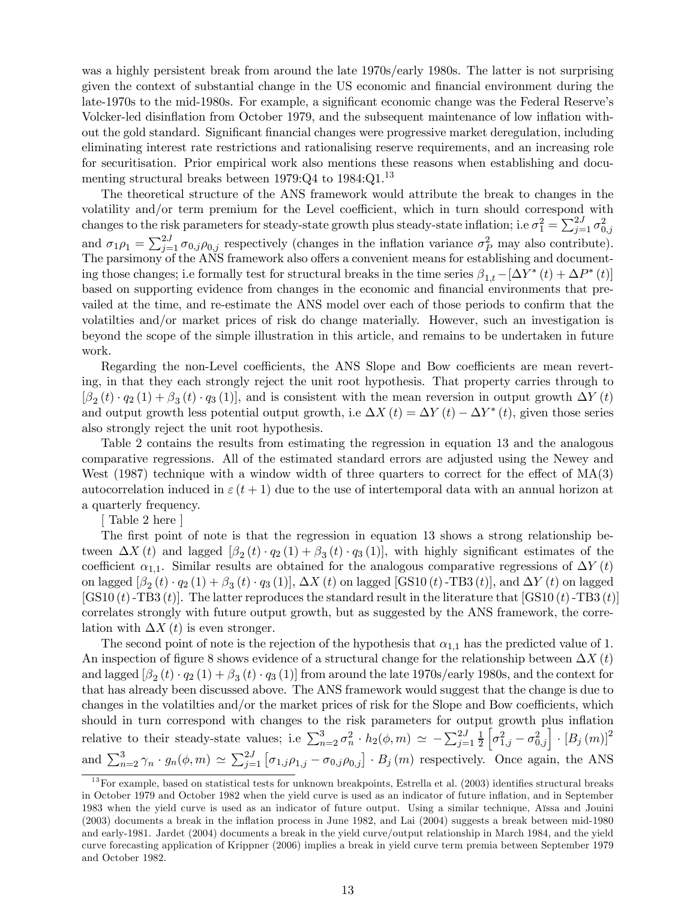was a highly persistent break from around the late 1970s/early 1980s. The latter is not surprising given the context of substantial change in the US economic and financial environment during the late-1970s to the mid-1980s. For example, a significant economic change was the Federal Reserve's Volcker-led disinflation from October 1979, and the subsequent maintenance of low inflation without the gold standard. Significant financial changes were progressive market deregulation, including eliminating interest rate restrictions and rationalising reserve requirements, and an increasing role for securitisation. Prior empirical work also mentions these reasons when establishing and documenting structural breaks between 1979:Q4 to 1984:Q1.<sup>13</sup>

The theoretical structure of the ANS framework would attribute the break to changes in the volatility and/or term premium for the Level coefficient, which in turn should correspond with changes to the risk parameters for steady-state growth plus steady-state inflation; i.e  $\sigma_1^2 = \sum_{j=1}^{2J} \sigma_{0,j}^2$ and  $\sigma_1 \rho_1 = \sum_{j=1}^{2J} \sigma_{0,j} \rho_{0,j}$  respectively (changes in the inflation variance  $\sigma_P^2$  may also contribute). The parsimony of the ANS framework also offers a convenient means for establishing and documenting those changes; i.e formally test for structural breaks in the time series  $\beta_{1,t}-[\Delta Y^*(t)+\Delta P^*(t)]$ based on supporting evidence from changes in the economic and financial environments that prevailed at the time, and re-estimate the ANS model over each of those periods to confirm that the volatilties and/or market prices of risk do change materially. However, such an investigation is beyond the scope of the simple illustration in this article, and remains to be undertaken in future work.

Regarding the non-Level coefficients, the ANS Slope and Bow coefficients are mean reverting, in that they each strongly reject the unit root hypothesis. That property carries through to  $\beta_2(t) \cdot q_2(1) + \beta_3(t) \cdot q_3(1)$ , and is consistent with the mean reversion in output growth  $\Delta Y(t)$ and output growth less potential output growth, i.e  $\Delta X(t) = \Delta Y(t) - \Delta Y^*(t)$ , given those series also strongly reject the unit root hypothesis.

Table 2 contains the results from estimating the regression in equation 13 and the analogous comparative regressions. All of the estimated standard errors are adjusted using the Newey and West (1987) technique with a window width of three quarters to correct for the effect of  $MA(3)$ autocorrelation induced in  $\varepsilon$  (t + 1) due to the use of intertemporal data with an annual horizon at a quarterly frequency.

[ Table 2 here ]

The first point of note is that the regression in equation 13 shows a strong relationship between  $\Delta X(t)$  and lagged  $\beta_2(t) \cdot q_2(1) + \beta_3(t) \cdot q_3(1)$ , with highly significant estimates of the coefficient  $\alpha_{1,1}$ . Similar results are obtained for the analogous comparative regressions of  $\Delta Y(t)$ on lagged  $\beta_2(t) \cdot q_2(1) + \beta_3(t) \cdot q_3(1)$ ,  $\Delta X(t)$  on lagged [GS10(t)-TB3(t)], and  $\Delta Y(t)$  on lagged  $[\text{GS10}(t)-\text{TB3}(t)]$ . The latter reproduces the standard result in the literature that  $[\text{GS10}(t)-\text{TB3}(t)]$ correlates strongly with future output growth, but as suggested by the ANS framework, the correlation with  $\Delta X(t)$  is even stronger.

The second point of note is the rejection of the hypothesis that  $\alpha_{1,1}$  has the predicted value of 1. An inspection of figure 8 shows evidence of a structural change for the relationship between  $\Delta X(t)$ and lagged  $\left[\beta_2(t)\cdot q_2(1)+\beta_3(t)\cdot q_3(1)\right]$  from around the late 1970s/early 1980s, and the context for that has already been discussed above. The ANS framework would suggest that the change is due to changes in the volatilties and/or the market prices of risk for the Slope and Bow coefficients, which should in turn correspond with changes to the risk parameters for output growth plus inflation relative to their steady-state values; i.e  $\sum_{n=2}^{3} \sigma_n^2 \cdot h_2(\phi, m) \simeq -\sum_{j=1}^{2J} \frac{1}{2}$ 2  $\left[\sigma_{1,j}^2-\sigma_{0,j}^2\right]\cdot[B_j\left(m\right)]^2$ and  $\sum_{n=2}^{3} \gamma_n \cdot g_n(\phi, m) \simeq \sum_{j=1}^{2J} [\sigma_{1,j} \rho_{1,j} - \sigma_{0,j} \rho_{0,j}] \cdot B_j(m)$  respectively. Once again, the ANS

 $13$  For example, based on statistical tests for unknown breakpoints, Estrella et al. (2003) identifies structural breaks in October 1979 and October 1982 when the yield curve is used as an indicator of future inflation, and in September 1983 when the yield curve is used as an indicator of future output. Using a similar technique, Aïssa and Jouini (2003) documents a break in the inflation process in June 1982, and Lai (2004) suggests a break between mid-1980 and early-1981. Jardet (2004) documents a break in the yield curve/output relationship in March 1984, and the yield curve forecasting application of Krippner (2006) implies a break in yield curve term premia between September 1979 and October 1982.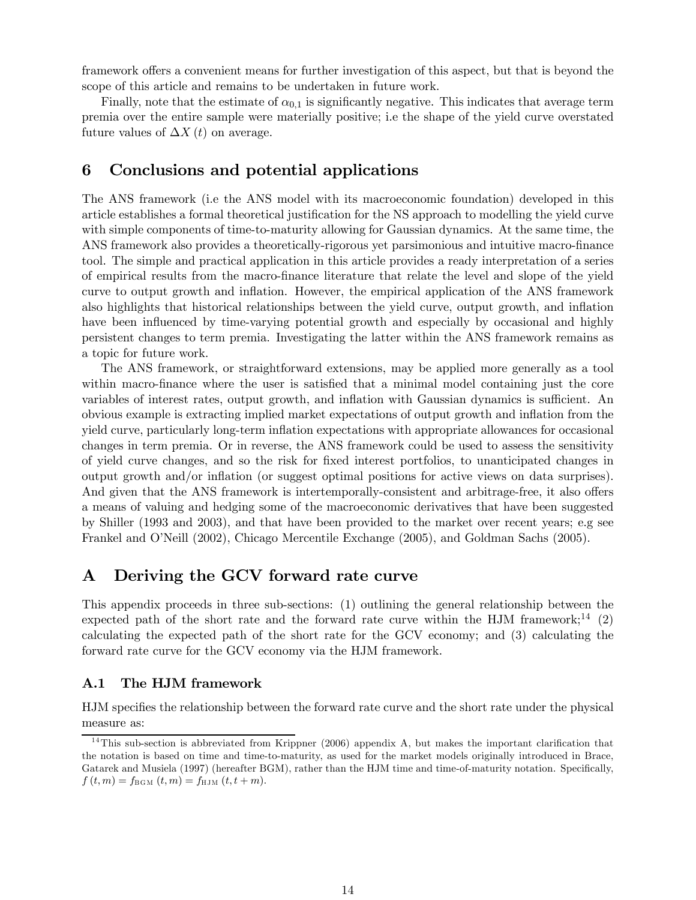framework offers a convenient means for further investigation of this aspect, but that is beyond the scope of this article and remains to be undertaken in future work.

Finally, note that the estimate of  $\alpha_{0,1}$  is significantly negative. This indicates that average term premia over the entire sample were materially positive; i.e the shape of the yield curve overstated future values of  $\Delta X(t)$  on average.

### 6 Conclusions and potential applications

The ANS framework (i.e the ANS model with its macroeconomic foundation) developed in this article establishes a formal theoretical justification for the NS approach to modelling the yield curve with simple components of time-to-maturity allowing for Gaussian dynamics. At the same time, the ANS framework also provides a theoretically-rigorous yet parsimonious and intuitive macro-finance tool. The simple and practical application in this article provides a ready interpretation of a series of empirical results from the macro-finance literature that relate the level and slope of the yield curve to output growth and inflation. However, the empirical application of the ANS framework also highlights that historical relationships between the yield curve, output growth, and inflation have been influenced by time-varying potential growth and especially by occasional and highly persistent changes to term premia. Investigating the latter within the ANS framework remains as a topic for future work.

The ANS framework, or straightforward extensions, may be applied more generally as a tool within macro-finance where the user is satisfied that a minimal model containing just the core variables of interest rates, output growth, and inflation with Gaussian dynamics is sufficient. An obvious example is extracting implied market expectations of output growth and inflation from the yield curve, particularly long-term inflation expectations with appropriate allowances for occasional changes in term premia. Or in reverse, the ANS framework could be used to assess the sensitivity of yield curve changes, and so the risk for fixed interest portfolios, to unanticipated changes in output growth and/or inflation (or suggest optimal positions for active views on data surprises). And given that the ANS framework is intertemporally-consistent and arbitrage-free, it also offers a means of valuing and hedging some of the macroeconomic derivatives that have been suggested by Shiller (1993 and 2003), and that have been provided to the market over recent years; e.g see Frankel and O'Neill (2002), Chicago Mercentile Exchange (2005), and Goldman Sachs (2005).

### A Deriving the GCV forward rate curve

This appendix proceeds in three sub-sections: (1) outlining the general relationship between the expected path of the short rate and the forward rate curve within the HJM framework;<sup>14</sup> (2) calculating the expected path of the short rate for the GCV economy; and (3) calculating the forward rate curve for the GCV economy via the HJM framework.

#### A.1 The HJM framework

HJM specifies the relationship between the forward rate curve and the short rate under the physical measure as:

 $14$ This sub-section is abbreviated from Krippner (2006) appendix A, but makes the important clarification that the notation is based on time and time-to-maturity, as used for the market models originally introduced in Brace, Gatarek and Musiela (1997) (hereafter BGM), rather than the HJM time and time-of-maturity notation. Specifically,  $f (t, m) = f_{\text{BGM}} (t, m) = f_{\text{HJM}} (t, t + m).$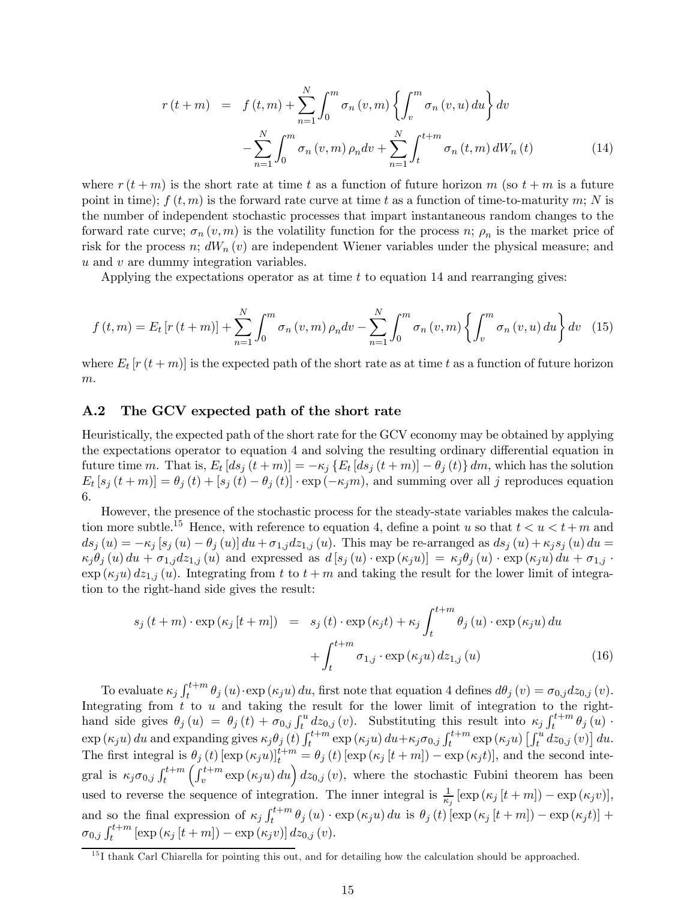$$
r(t+m) = f(t,m) + \sum_{n=1}^{N} \int_{0}^{m} \sigma_n(v,m) \left\{ \int_{v}^{m} \sigma_n(v,u) du \right\} dv - \sum_{n=1}^{N} \int_{0}^{m} \sigma_n(v,m) \rho_n dv + \sum_{n=1}^{N} \int_{t}^{t+m} \sigma_n(t,m) dW_n(t)
$$
(14)

where  $r(t + m)$  is the short rate at time t as a function of future horizon m (so  $t + m$  is a future point in time);  $f(t, m)$  is the forward rate curve at time t as a function of time-to-maturity m; N is the number of independent stochastic processes that impart instantaneous random changes to the forward rate curve;  $\sigma_n(v,m)$  is the volatility function for the process n;  $\rho_n$  is the market price of risk for the process n;  $dW_n(v)$  are independent Wiener variables under the physical measure; and u and v are dummy integration variables.

Applying the expectations operator as at time  $t$  to equation 14 and rearranging gives:

$$
f(t, m) = E_t [r(t + m)] + \sum_{n=1}^{N} \int_0^m \sigma_n(v, m) \rho_n dv - \sum_{n=1}^{N} \int_0^m \sigma_n(v, m) \left\{ \int_v^m \sigma_n(v, u) \, du \right\} dv \tag{15}
$$

where  $E_t$  [r  $(t+m)$ ] is the expected path of the short rate as at time t as a function of future horizon  $\boldsymbol{m}.$ 

#### A.2 The GCV expected path of the short rate

Heuristically, the expected path of the short rate for the GCV economy may be obtained by applying the expectations operator to equation 4 and solving the resulting ordinary differential equation in future time m. That is,  $E_t [ds_j (t + m)] = -\kappa_j \{E_t [ds_j (t + m)] - \theta_j (t)\} dm$ , which has the solution  $E_t [s_j (t + m)] = \theta_j (t) + [s_j (t) - \theta_j (t)] \cdot \exp(-\kappa_j m)$ , and summing over all j reproduces equation 6.

However, the presence of the stochastic process for the steady-state variables makes the calculation more subtle.<sup>15</sup> Hence, with reference to equation 4, define a point u so that  $t < u < t + m$  and  $ds_j(u) = -\kappa_j [s_j(u) - \theta_j(u)] du + \sigma_{1,j} dz_{1,j}(u)$ . This may be re-arranged as  $ds_j(u) + \kappa_j s_j(u) du =$  $\kappa_j \theta_j(u) du + \sigma_{1,j} dz_{1,j}(u)$  and expressed as  $d[s_j(u) \cdot \exp(\kappa_j u)] = \kappa_j \theta_j(u) \cdot \exp(\kappa_j u) du + \sigma_{1,j} \cdot$  $\exp(\kappa_j u) dz_{1,j}(u)$ . Integrating from t to  $t + m$  and taking the result for the lower limit of integration to the right-hand side gives the result:

$$
s_j(t+m) \cdot \exp(\kappa_j [t+m]) = s_j(t) \cdot \exp(\kappa_j t) + \kappa_j \int_t^{t+m} \theta_j(u) \cdot \exp(\kappa_j u) du + \int_t^{t+m} \sigma_{1,j} \cdot \exp(\kappa_j u) dz_{1,j}(u)
$$
 (16)

To evaluate  $\kappa_j \int_t^{t+m} \theta_j(u) \cdot \exp(\kappa_j u) du$ , first note that equation 4 defines  $d\theta_j(v) = \sigma_{0,j} dz_{0,j}(v)$ . Integrating from t to u and taking the result for the lower limit of integration to the righthand side gives  $\theta_j(u) = \theta_j(t) + \sigma_{0,j} \int_t^u dz_{0,j}(v)$ . Substituting this result into  $\kappa_j \int_t^{t+m} \theta_j(u)$ .  $\exp(\kappa_j u) du$  and expanding gives  $\kappa_j \theta_j(t) \int_t^{t+m} \exp(\kappa_j u) du + \kappa_j \sigma_{0,j} \int_t^{t+m} \exp(\kappa_j u) \left[ \int_t^u dz_{0,j}(v) \right] du$ . The first integral is  $\theta_j(t)$  [exp  $(\kappa_j u)$ ]<sup>t+m</sup> =  $\theta_j(t)$  [exp  $(\kappa_j [t+m]) - \exp(\kappa_j t)$ ], and the second integral is  $\kappa_j \sigma_{0,j} \int_t^{t+m} \left( \int_v^{t+m} \exp{(\kappa_j u)} du \right) dz_{0,j}(v)$ , where the stochastic Fubini theorem has been used to reverse the sequence of integration. The inner integral is  $\frac{1}{\kappa_j} [\exp (\kappa_j [t+m]) - \exp (\kappa_j v)],$ and so the final expression of  $\kappa_j \int_t^{t+m} \theta_j(u) \cdot \exp(\kappa_j u) du$  is  $\theta_j(t) [\exp(\kappa_j [t+m]) - \exp(\kappa_j t)] +$  $\sigma_{0,j} \int_{t}^{t+m} [\exp{(\kappa_j [t+m])} - \exp{(\kappa_j v)}] dz_{0,j}(v).$ 

<sup>&</sup>lt;sup>15</sup>I thank Carl Chiarella for pointing this out, and for detailing how the calculation should be approached.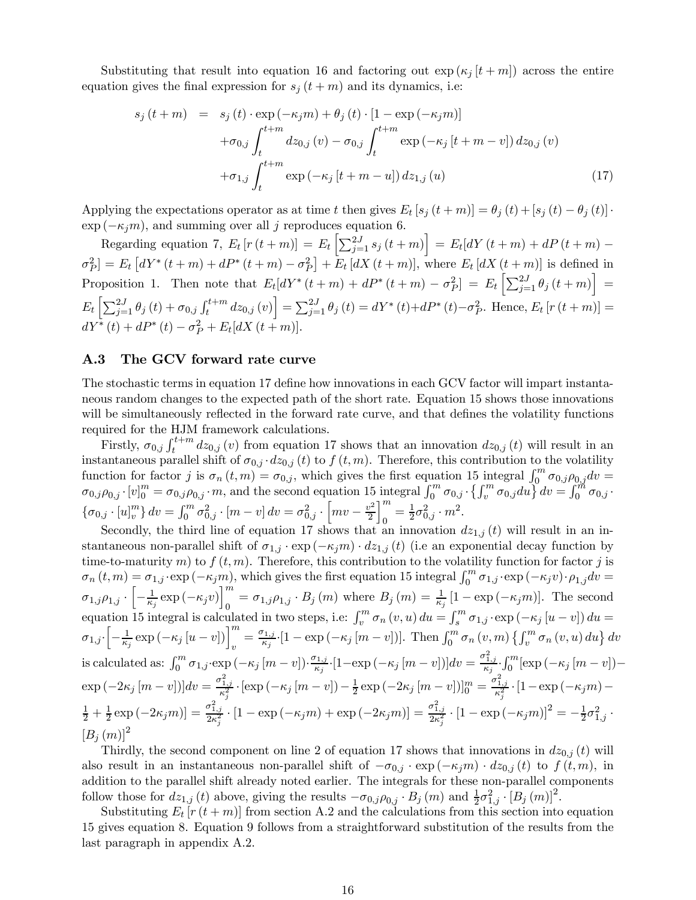Substituting that result into equation 16 and factoring out  $\exp(\kappa_i [t+m])$  across the entire equation gives the final expression for  $s_j(t+m)$  and its dynamics, i.e:

$$
s_j(t+m) = s_j(t) \cdot \exp(-\kappa_j m) + \theta_j(t) \cdot [1 - \exp(-\kappa_j m)] + \sigma_{0,j} \int_t^{t+m} dz_{0,j}(v) - \sigma_{0,j} \int_t^{t+m} \exp(-\kappa_j [t+m-v]) dz_{0,j}(v) + \sigma_{1,j} \int_t^{t+m} \exp(-\kappa_j [t+m-u]) dz_{1,j}(u)
$$
(17)

Applying the expectations operator as at time t then gives  $E_t$  [s<sub>j</sub> (t + m)] =  $\theta_j$  (t) + [s<sub>j</sub> (t) –  $\theta_j$  (t)] ·  $\exp(-\kappa_j m)$ , and summing over all j reproduces equation 6.

Regarding equation 7,  $E_t [r(t+m)] = E_t \left[ \sum_{j=1}^{2J} s_j(t+m) \right] = E_t [dY(t+m) + dP(t+m) \sigma_P^2 = E_t \left[ dY^*(t+m) + dP^*(t+m) - \sigma_P^2 \right] + E_t \left[ dX(t+m) \right]$ , where  $E_t \left[ dX(t+m) \right]$  is defined in Proposition 1. Then note that  $E_t[dY^*(t+m) + dP^*(t+m) - \sigma_P^2] = E_t\left[\sum_{j=1}^{2J} \theta_j(t+m)\right] =$  $E_t\left[\sum_{j=1}^{2J}\theta_j\left(t\right)+\sigma_{0,j}\int_{t}^{t+m}dz_{0,j}\left(v\right)\right]=\sum_{j=1}^{2J}\theta_j\left(t\right)=dY^*\left(t\right)+dP^*\left(t\right)-\sigma_P^2.$  Hence,  $E_t\left[r\left(t+m\right)\right]=$  $dY^* (t) + dP^* (t) - \sigma_P^2 + E_t [dX (t+m)].$ 

#### A.3 The GCV forward rate curve

The stochastic terms in equation 17 define how innovations in each GCV factor will impart instantaneous random changes to the expected path of the short rate. Equation 15 shows those innovations will be simultaneously reflected in the forward rate curve, and that defines the volatility functions required for the HJM framework calculations.

Firstly,  $\sigma_{0,j} \int_{t}^{t+m} dz_{0,j}(v)$  from equation 17 shows that an innovation  $dz_{0,j}(t)$  will result in an instantaneous parallel shift of  $\sigma_{0,j} \cdot dz_{0,j}$  (t) to  $f(t, m)$ . Therefore, this contribution to the volatility function for factor j is  $\sigma_n(t,m) = \sigma_{0,j}$ , which gives the first equation 15 integral  $\int_0^m \sigma_{0,j} \rho_{0,j} dv =$  $\sigma_{0,j}\rho_{0,j}\cdot [v]_0^m = \sigma_{0,j}\rho_{0,j}\cdot m$ , and the second equation 15 integral  $\int_0^m \sigma_{0,j} \cdot \left\{\int_v^m \sigma_{0,j} du\right\} dv = \int_0^m \sigma_{0,j}$ .  ${\{\sigma_{0,j}\cdot [u]^m_v\}} dv = \int_0^m \sigma_{0,j}^2 \cdot [m-v] dv = \sigma_{0,j}^2$ .  $\left[ mv - \frac{v^2}{2} \right]$  $\Big]_0^m = \frac{1}{2} \sigma_{0,j}^2 \cdot m^2.$ 

Secondly, the third line of equation 17 shows that an innovation  $dz_{1,j}(t)$  will result in an instantaneous non-parallel shift of  $\sigma_{1,j} \cdot \exp(-\kappa_j m) \cdot dz_{1,j}(t)$  (i.e an exponential decay function by time-to-maturity m) to  $f(t, m)$ . Therefore, this contribution to the volatility function for factor j is  $\sigma_n(t,m) = \sigma_{1,j} \cdot \exp(-\kappa_j m)$ , which gives the first equation 15 integral  $\int_0^m \sigma_{1,j} \cdot \exp(-\kappa_j v) \cdot \rho_{1,j} dv =$  $\sigma_{1,j}\rho_{1,j}\cdot\left[-\frac{1}{\kappa_j}\exp\left(-\kappa_jv\right)\right]_0^m=\sigma_{1,j}\rho_{1,j}\cdot B_j\left(m\right)$  where  $B_j\left(m\right)=\frac{1}{\kappa_j}\left[1-\exp\left(-\kappa_jm\right)\right]$ . The second equation 15 integral is calculated in two steps, i.e:  $\int_v^m \sigma_n(v, u) \, du = \int_s^m \sigma_{1,j} \cdot \exp(-\kappa_j [u - v]) \, du =$  $\sigma_{1,j} \cdot \left[ -\frac{1}{\kappa_j} \exp\left(-\kappa_j \left[ u - v \right] \right) \right]_v^m = \frac{\sigma_{1,j}}{\kappa_j} \cdot \left[ 1 - \exp\left(-\kappa_j \left[ m - v \right] \right) \right]$ . Then  $\int_0^m \sigma_n \left( v, m \right) \left\{ \int_v^m \sigma_n \left( v, u \right) du \right\} dv$ is calculated as:  $\int_0^m \sigma_{1,j} \cdot \exp(-\kappa_j [m-v]) \cdot \frac{\sigma_{1,j}}{\kappa_j} \cdot [1-\exp(-\kappa_j [m-v])] dv = \frac{\sigma_{1,j}^2}{\kappa_j} \cdot \int_0^m [\exp(-\kappa_j [m-v]) - \frac{\sigma_{1,j}^2}{\kappa_j}] dv$  $\exp(-2\kappa_j[m-v])] dv = \frac{\sigma_{1,j}^2}{\kappa_j^2} \cdot \left[\exp(-\kappa_j[m-v]) - \frac{1}{2}\exp(-2\kappa_j[m-v])\right]_0^m = \frac{\sigma_{1,j}^2}{\kappa_j^2} \cdot \left[1-\exp(-\kappa_jm)-\frac{1}{2}\exp(-2\kappa_j[m-v])\right]_0^m$  $[\frac{1}{2} + \frac{1}{2} \exp(-2\kappa_j m)] = \frac{\sigma_{1,j}^2}{2\kappa_j^2} \cdot [1 - \exp(-\kappa_j m) + \exp(-2\kappa_j m)] = \frac{\sigma_{1,j}^2}{2\kappa_j^2} \cdot [1 - \exp(-\kappa_j m)]^2 = -\frac{1}{2}\sigma_{1,j}^2 \cdot$  $[B_i(m)]^2$ 

Thirdly, the second component on line 2 of equation 17 shows that innovations in  $dz_{0,j}(t)$  will also result in an instantaneous non-parallel shift of  $-\sigma_{0,i} \cdot \exp(-\kappa_i m) \cdot dz_{0,i}(t)$  to  $f(t, m)$ , in addition to the parallel shift already noted earlier. The integrals for these non-parallel components follow those for  $dz_{1,j}(t)$  above, giving the results  $-\sigma_{0,j}\rho_{0,j} \cdot B_j(m)$  and  $\frac{1}{2}\sigma_{1,j}^2 \cdot [B_j(m)]^2$ .

Substituting  $E_t$  [r (t + m)] from section A.2 and the calculations from this section into equation 15 gives equation 8. Equation 9 follows from a straightforward substitution of the results from the last paragraph in appendix A.2.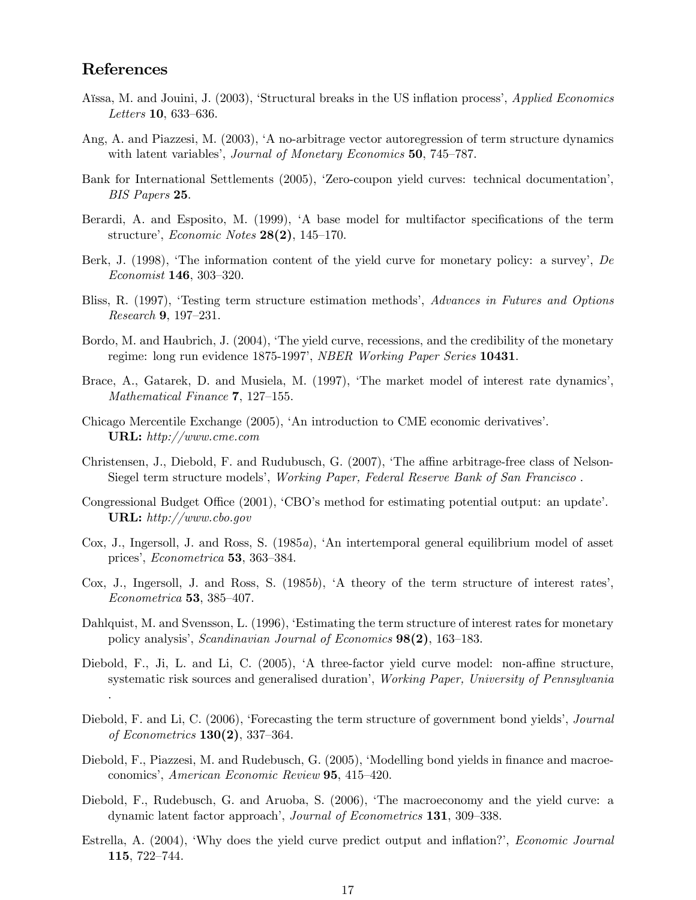### References

- Aïssa, M. and Jouini, J. (2003), 'Structural breaks in the US inflation process', Applied Economics Letters 10, 633—636.
- Ang, A. and Piazzesi, M. (2003), 'A no-arbitrage vector autoregression of term structure dynamics with latent variables', *Journal of Monetary Economics* **50**, 745–787.
- Bank for International Settlements (2005), 'Zero-coupon yield curves: technical documentation', BIS Papers 25.
- Berardi, A. and Esposito, M. (1999), 'A base model for multifactor specifications of the term structure', Economic Notes 28(2), 145—170.
- Berk, J. (1998), 'The information content of the yield curve for monetary policy: a survey', De Economist 146, 303—320.
- Bliss, R. (1997), 'Testing term structure estimation methods', Advances in Futures and Options Research 9, 197—231.
- Bordo, M. and Haubrich, J. (2004), 'The yield curve, recessions, and the credibility of the monetary regime: long run evidence 1875-1997', NBER Working Paper Series 10431.
- Brace, A., Gatarek, D. and Musiela, M. (1997), 'The market model of interest rate dynamics', Mathematical Finance 7, 127—155.
- Chicago Mercentile Exchange (2005), 'An introduction to CME economic derivatives'. URL: http://www.cme.com
- Christensen, J., Diebold, F. and Rudubusch, G. (2007), 'The affine arbitrage-free class of Nelson-Siegel term structure models', Working Paper, Federal Reserve Bank of San Francisco .
- Congressional Budget Office (2001), 'CBO's method for estimating potential output: an update'. URL: http://www.cbo.gov
- Cox, J., Ingersoll, J. and Ross, S. (1985a), 'An intertemporal general equilibrium model of asset prices', Econometrica 53, 363—384.
- Cox, J., Ingersoll, J. and Ross, S. (1985b), 'A theory of the term structure of interest rates', Econometrica 53, 385—407.
- Dahlquist, M. and Svensson, L. (1996), 'Estimating the term structure of interest rates for monetary policy analysis', Scandinavian Journal of Economics 98(2), 163—183.
- Diebold, F., Ji, L. and Li, C. (2005), 'A three-factor yield curve model: non-affine structure, systematic risk sources and generalised duration', Working Paper, University of Pennsylvania .
- Diebold, F. and Li, C. (2006), 'Forecasting the term structure of government bond yields', Journal of Econometrics  $130(2)$ , 337–364.
- Diebold, F., Piazzesi, M. and Rudebusch, G. (2005), 'Modelling bond yields in finance and macroeconomics', American Economic Review 95, 415—420.
- Diebold, F., Rudebusch, G. and Aruoba, S. (2006), 'The macroeconomy and the yield curve: a dynamic latent factor approach', Journal of Econometrics 131, 309—338.
- Estrella, A. (2004), 'Why does the yield curve predict output and inflation?', Economic Journal 115, 722—744.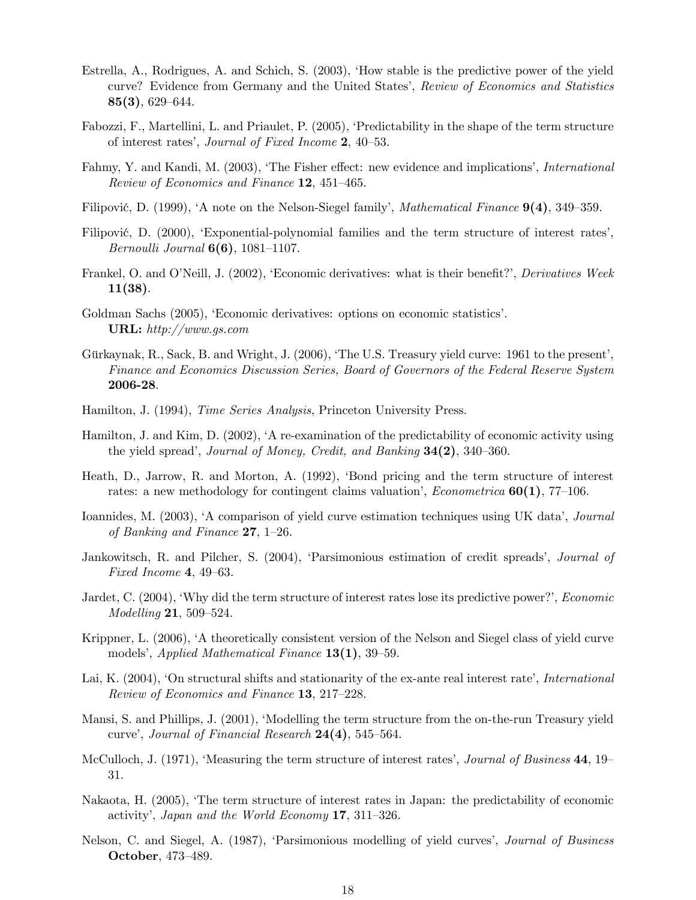- Estrella, A., Rodrigues, A. and Schich, S. (2003), 'How stable is the predictive power of the yield curve? Evidence from Germany and the United States', Review of Economics and Statistics 85(3), 629—644.
- Fabozzi, F., Martellini, L. and Priaulet, P. (2005), 'Predictability in the shape of the term structure of interest rates', Journal of Fixed Income 2, 40—53.
- Fahmy, Y. and Kandi, M. (2003), 'The Fisher effect: new evidence and implications', International Review of Economics and Finance 12, 451—465.
- Filipović, D. (1999), 'A note on the Nelson-Siegel family', *Mathematical Finance* **9(4)**, 349–359.
- Filipović, D. (2000), 'Exponential-polynomial families and the term structure of interest rates', *Bernoulli Journal*  $6(6)$ , 1081–1107.
- Frankel, O. and O'Neill, J. (2002), 'Economic derivatives: what is their benefit?', Derivatives Week 11(38).
- Goldman Sachs (2005), 'Economic derivatives: options on economic statistics'. URL: http://www.gs.com
- Gürkaynak, R., Sack, B. and Wright, J. (2006), 'The U.S. Treasury yield curve: 1961 to the present', Finance and Economics Discussion Series, Board of Governors of the Federal Reserve System 2006-28.
- Hamilton, J. (1994), *Time Series Analysis*, Princeton University Press.
- Hamilton, J. and Kim, D. (2002), 'A re-examination of the predictability of economic activity using the yield spread', Journal of Money, Credit, and Banking 34(2), 340—360.
- Heath, D., Jarrow, R. and Morton, A. (1992), 'Bond pricing and the term structure of interest rates: a new methodology for contingent claims valuation', *Econometrica*  $60(1)$ ,  $77-106$ .
- Ioannides, M. (2003), 'A comparison of yield curve estimation techniques using UK data', Journal of Banking and Finance  $27$ , 1–26.
- Jankowitsch, R. and Pilcher, S. (2004), 'Parsimonious estimation of credit spreads', Journal of Fixed Income 4, 49—63.
- Jardet, C. (2004), 'Why did the term structure of interest rates lose its predictive power?', Economic Modelling 21, 509—524.
- Krippner, L. (2006), 'A theoretically consistent version of the Nelson and Siegel class of yield curve models', Applied Mathematical Finance 13(1), 39—59.
- Lai, K. (2004), 'On structural shifts and stationarity of the ex-ante real interest rate', International Review of Economics and Finance 13, 217—228.
- Mansi, S. and Phillips, J. (2001), 'Modelling the term structure from the on-the-run Treasury yield curve', Journal of Financial Research 24(4), 545—564.
- McCulloch, J. (1971), 'Measuring the term structure of interest rates', *Journal of Business* 44, 19– 31.
- Nakaota, H. (2005), 'The term structure of interest rates in Japan: the predictability of economic activity', Japan and the World Economy 17, 311—326.
- Nelson, C. and Siegel, A. (1987), 'Parsimonious modelling of yield curves', Journal of Business October, 473—489.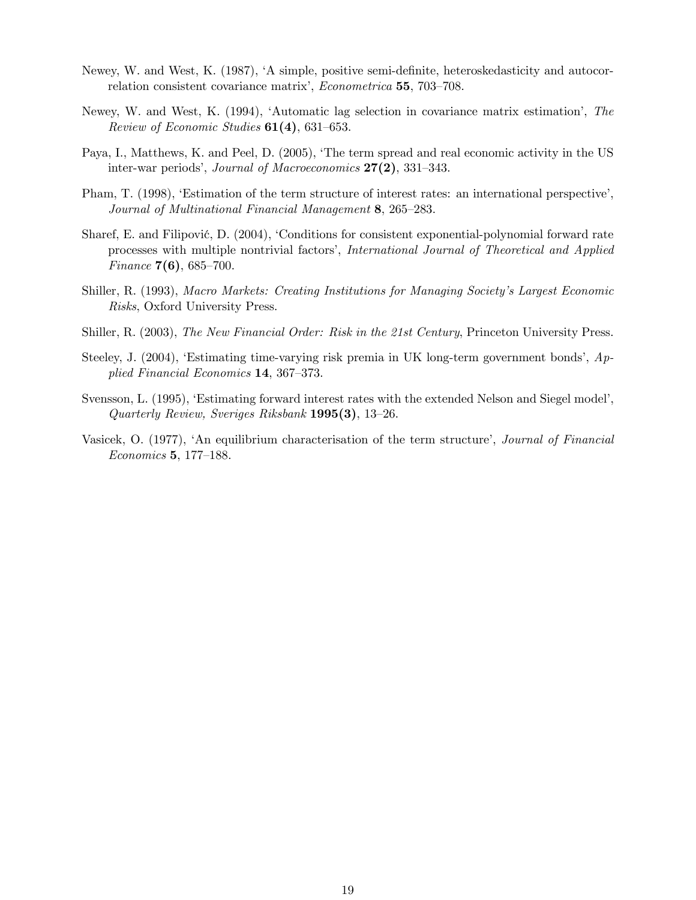- Newey, W. and West, K. (1987), 'A simple, positive semi-definite, heteroskedasticity and autocorrelation consistent covariance matrix', Econometrica 55, 703—708.
- Newey, W. and West, K. (1994), 'Automatic lag selection in covariance matrix estimation', The Review of Economic Studies  $61(4)$ , 631-653.
- Paya, I., Matthews, K. and Peel, D. (2005), 'The term spread and real economic activity in the US inter-war periods', Journal of Macroeconomics 27(2), 331—343.
- Pham, T. (1998), 'Estimation of the term structure of interest rates: an international perspective', Journal of Multinational Financial Management 8, 265—283.
- Sharef, E. and Filipović, D. (2004), 'Conditions for consistent exponential-polynomial forward rate processes with multiple nontrivial factors', International Journal of Theoretical and Applied *Finance*  $7(6)$ , 685–700.
- Shiller, R. (1993), Macro Markets: Creating Institutions for Managing Society's Largest Economic Risks, Oxford University Press.
- Shiller, R. (2003), The New Financial Order: Risk in the 21st Century, Princeton University Press.
- Steeley, J. (2004), 'Estimating time-varying risk premia in UK long-term government bonds', Applied Financial Economics 14, 367—373.
- Svensson, L. (1995), 'Estimating forward interest rates with the extended Nelson and Siegel model', Quarterly Review, Sveriges Riksbank 1995(3), 13—26.
- Vasicek, O. (1977), 'An equilibrium characterisation of the term structure', Journal of Financial Economics 5, 177—188.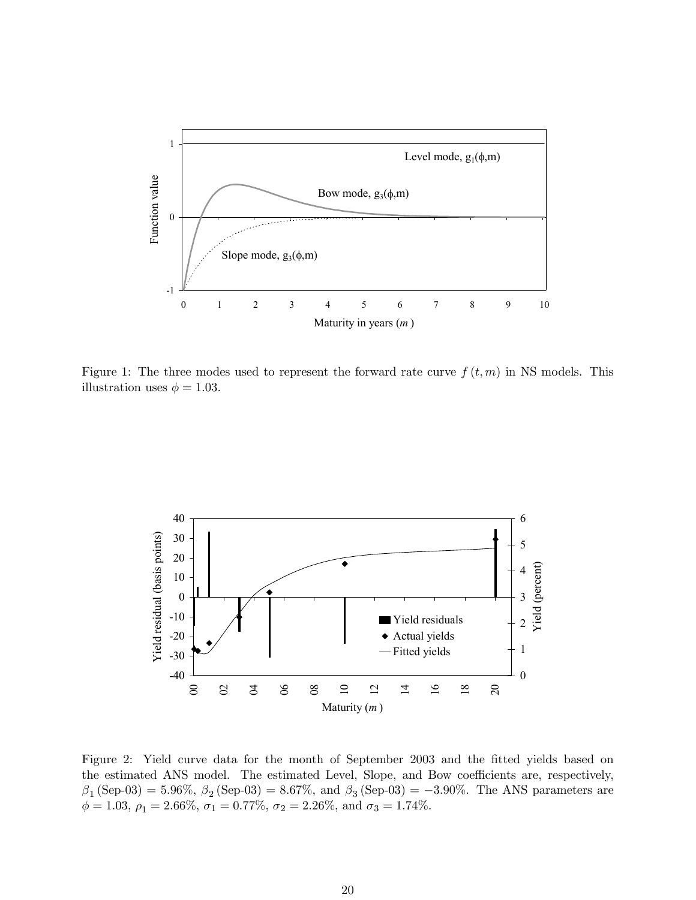

Figure 1: The three modes used to represent the forward rate curve  $f(t, m)$  in NS models. This illustration uses  $\phi = 1.03$ .



Figure 2: Yield curve data for the month of September 2003 and the fitted yields based on the estimated ANS model. The estimated Level, Slope, and Bow coefficients are, respectively,  $\beta_1$  (Sep-03) = 5.96%,  $\beta_2$  (Sep-03) = 8.67%, and  $\beta_3$  (Sep-03) = -3.90%. The ANS parameters are  $\phi = 1.03, \, \rho_1 = 2.66\%, \, \sigma_1 = 0.77\%, \, \sigma_2 = 2.26\%,$  and  $\sigma_3 = 1.74\%.$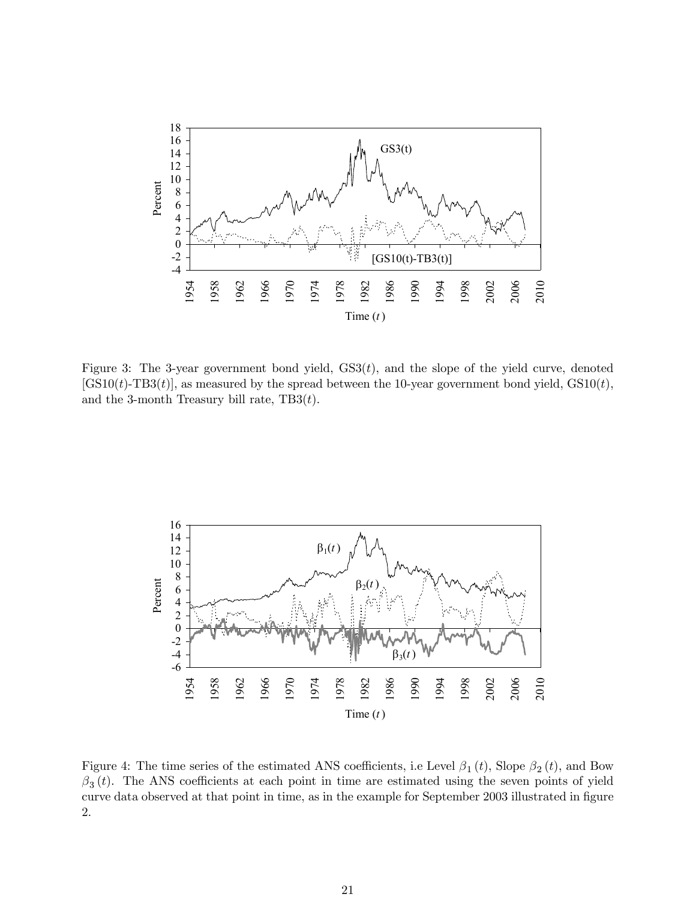

Figure 3: The 3-year government bond yield,  $GS3(t)$ , and the slope of the yield curve, denoted  $[GS10(t)-TB3(t)]$ , as measured by the spread between the 10-year government bond yield,  $GS10(t)$ , and the 3-month Treasury bill rate,  $TB3(t)$ .



Figure 4: The time series of the estimated ANS coefficients, i.e Level  $\beta_1(t)$ , Slope  $\beta_2(t)$ , and Bow  $\beta_3(t)$ . The ANS coefficients at each point in time are estimated using the seven points of yield curve data observed at that point in time, as in the example for September 2003 illustrated in figure 2.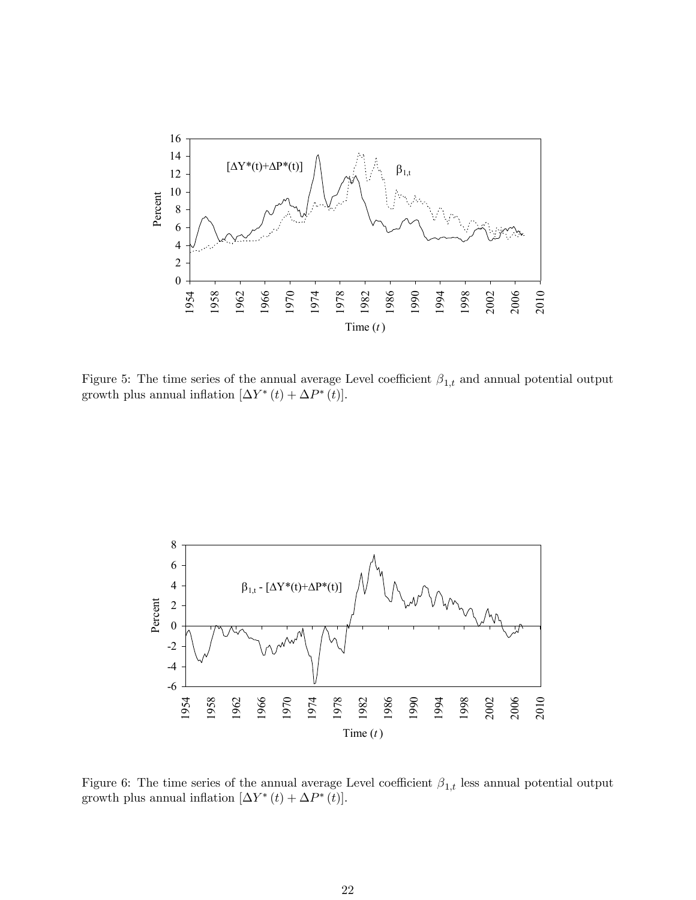

Figure 5: The time series of the annual average Level coefficient  $\beta_{1,t}$  and annual potential output growth plus annual inflation  $[\Delta Y^*(t)+\Delta P^*(t)].$ 



Figure 6: The time series of the annual average Level coefficient  $\beta_{1,t}$  less annual potential output growth plus annual inflation  $[\Delta Y^*(t) + \Delta P^*(t)].$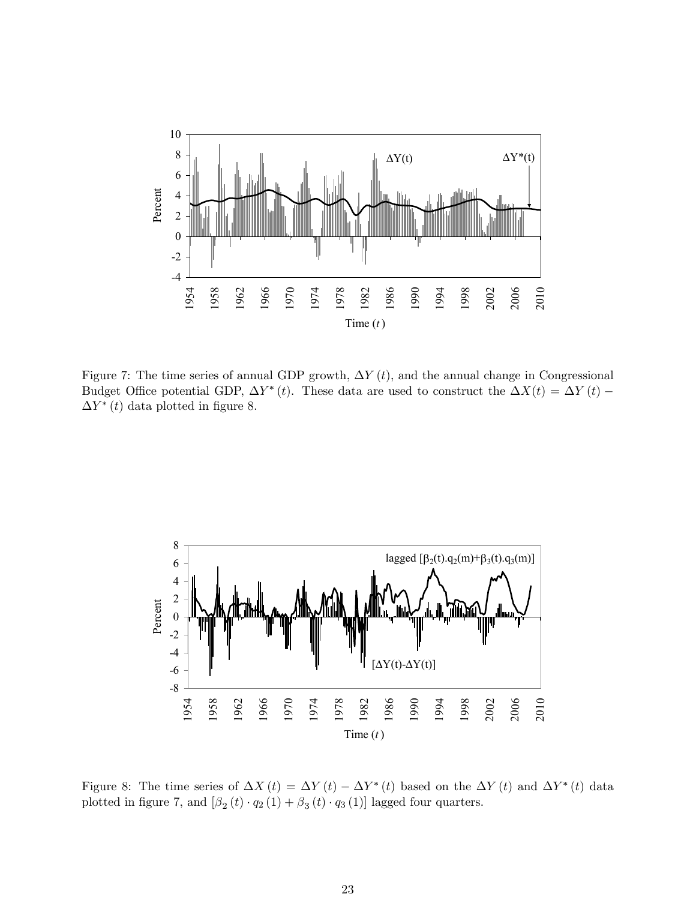

Figure 7: The time series of annual GDP growth,  $\Delta Y(t)$ , and the annual change in Congressional Budget Office potential GDP,  $\Delta Y^*(t)$ . These data are used to construct the  $\Delta X(t) = \Delta Y(t)$  –  $\Delta Y^*$  (t) data plotted in figure 8.



Figure 8: The time series of  $\Delta X(t) = \Delta Y(t) - \Delta Y^*(t)$  based on the  $\Delta Y(t)$  and  $\Delta Y^*(t)$  data plotted in figure 7, and  $\left[\beta_2(t)\cdot q_2(1)+\beta_3(t)\cdot q_3(1)\right]$  lagged four quarters.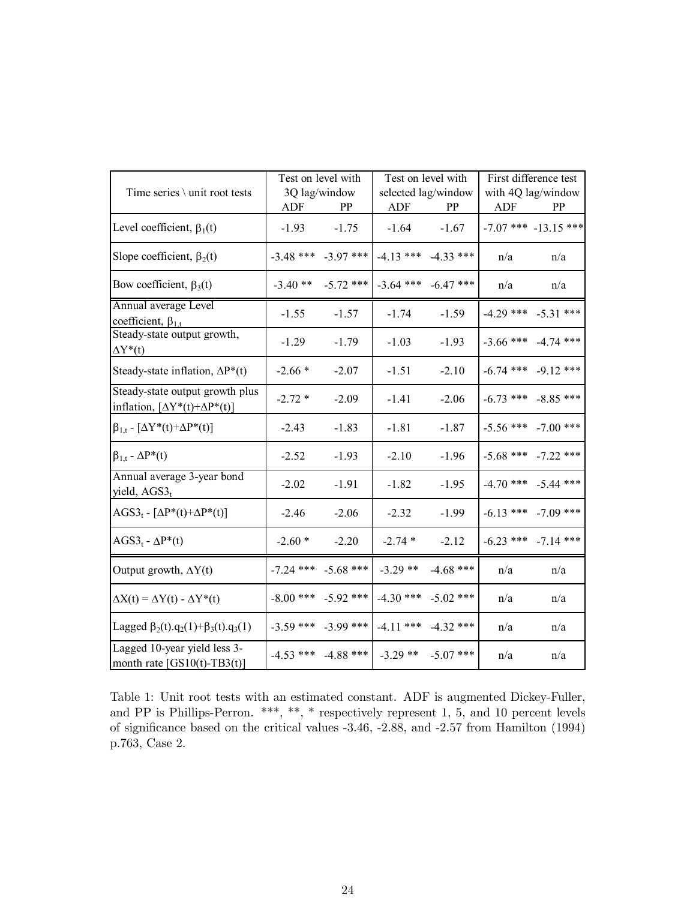| Time series \ unit root tests                                                   | Test on level with<br>3Q lag/window<br><b>ADF</b><br>PP |                         | Test on level with<br>selected lag/window<br><b>ADF</b><br>PP |                         | First difference test<br>with 4Q lag/window<br><b>ADF</b><br>PP |                          |
|---------------------------------------------------------------------------------|---------------------------------------------------------|-------------------------|---------------------------------------------------------------|-------------------------|-----------------------------------------------------------------|--------------------------|
| Level coefficient, $\beta_1(t)$                                                 | $-1.93$                                                 | $-1.75$                 | $-1.64$                                                       | $-1.67$                 |                                                                 | $-7.07$ *** $-13.15$ *** |
| Slope coefficient, $\beta_2(t)$                                                 | $-3.48$ ***                                             | $-3.97$ ***             |                                                               | $-4.13$ *** $-4.33$ *** | n/a                                                             | n/a                      |
| Bow coefficient, $\beta_3(t)$                                                   | $-3.40**$                                               | $-5.72$ ***             |                                                               | $-3.64$ *** $-6.47$ *** | n/a                                                             | n/a                      |
| Annual average Level<br>coefficient, $\beta_{1,t}$                              | $-1.55$                                                 | $-1.57$                 | $-1.74$                                                       | $-1.59$                 | $-4.29$ ***                                                     | $-5.31$ ***              |
| Steady-state output growth,<br>$\Delta Y^*(t)$                                  | $-1.29$                                                 | $-1.79$                 | $-1.03$                                                       | $-1.93$                 | $-3.66$ ***                                                     | $-4.74$ ***              |
| Steady-state inflation, $\Delta P^*(t)$                                         | $-2.66*$                                                | $-2.07$                 | $-1.51$                                                       | $-2.10$                 | $-6.74$ ***                                                     | $-9.12$ ***              |
| Steady-state output growth plus<br>inflation, $[\Delta Y^*(t) + \Delta P^*(t)]$ | $-2.72*$                                                | $-2.09$                 | $-1.41$                                                       | $-2.06$                 | $-6.73$ ***                                                     | $-8.85$ ***              |
| $\beta_{1,t}$ - $[\Delta Y^*(t)+\Delta P^*(t)]$                                 | $-2.43$                                                 | $-1.83$                 | $-1.81$                                                       | $-1.87$                 | $-5.56$ ***                                                     | $-7.00$ ***              |
| $\beta_{1,t}$ - $\Delta P^*(t)$                                                 | $-2.52$                                                 | $-1.93$                 | $-2.10$                                                       | $-1.96$                 | $-5.68$ ***                                                     | $-7.22$ ***              |
| Annual average 3-year bond<br>yield, AGS3 <sub>t</sub>                          | $-2.02$                                                 | $-1.91$                 | $-1.82$                                                       | $-1.95$                 | $-4.70$ ***                                                     | $-5.44$ ***              |
| $AGS3_t - [\Delta P^*(t) + \Delta P^*(t)]$                                      | $-2.46$                                                 | $-2.06$                 | $-2.32$                                                       | $-1.99$                 | $-6.13$ ***                                                     | $-7.09$ ***              |
| $AGSt - \Delta P^*(t)$                                                          | $-2.60*$                                                | $-2.20$                 | $-2.74*$                                                      | $-2.12$                 |                                                                 | $-6.23$ *** $-7.14$ ***  |
| Output growth, $\Delta Y(t)$                                                    |                                                         | $-7.24$ *** $-5.68$ *** | $-3.29$ **                                                    | $-4.68$ ***             | n/a                                                             | n/a                      |
| $\Delta X(t) = \Delta Y(t) - \Delta Y^*(t)$                                     |                                                         | $-8.00$ *** $-5.92$ *** | $-4.30$ ***                                                   | $-5.02$ ***             | n/a                                                             | n/a                      |
| Lagged $\beta_2(t) \cdot q_2(1) + \beta_3(t) \cdot q_3(1)$                      |                                                         | $-3.59$ *** $-3.99$ *** | $-4.11$ ***                                                   | $-4.32$ ***             | n/a                                                             | n/a                      |
| Lagged 10-year yield less 3-<br>month rate $[GS10(t)-TB3(t)]$                   |                                                         |                         | $-4.53$ *** $-4.88$ *** $-3.29$ ** $-5.07$ ***                |                         | n/a                                                             | n/a                      |

Table 1: Unit root tests with an estimated constant. ADF is augmented Dickey-Fuller, and PP is Phillips-Perron. \*\*\*, \*\*, \* respectively represent 1, 5, and 10 percent levels of significance based on the critical values -3.46, -2.88, and -2.57 from Hamilton (1994) p.763, Case 2.